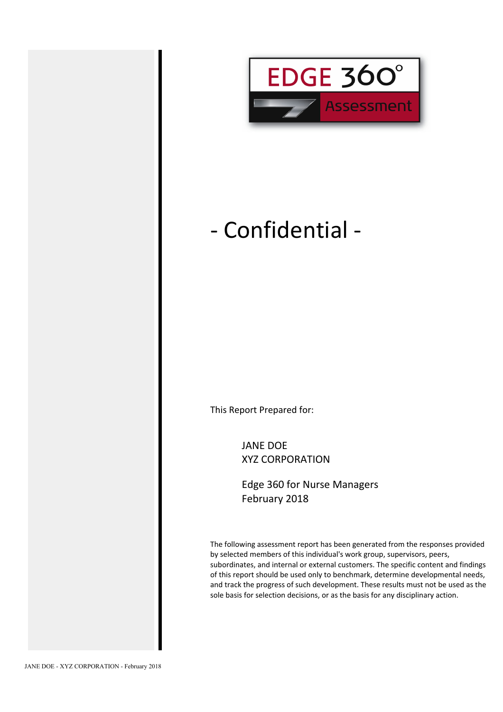

# - Confidential -

This Report Prepared for:

JANE DOE XYZ CORPORATION

Edge 360 for Nurse Managers February 2018

The following assessment report has been generated from the responses provided by selected members of this individual's work group, supervisors, peers, subordinates, and internal or external customers. The specific content and findings of this report should be used only to benchmark, determine developmental needs, and track the progress of such development. These results must not be used as the sole basis for selection decisions, or as the basis for any disciplinary action.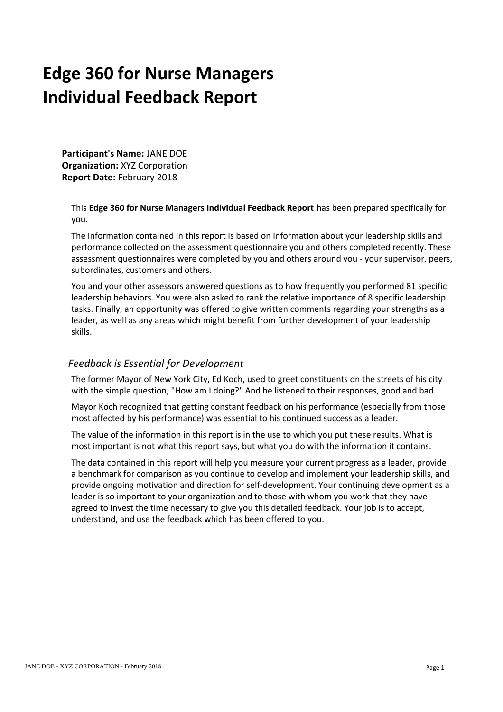# **Edge 360 for Nurse Managers Individual Feedback Report**

**Participant's Name:** JANE DOE **Organization:** XYZ Corporation **Report Date:** February 2018

This **Edge 360 for Nurse Managers Individual Feedback Report** has been prepared specifically for you.

The information contained in this report is based on information about your leadership skills and performance collected on the assessment questionnaire you and others completed recently. These assessment questionnaires were completed by you and others around you - your supervisor, peers, subordinates, customers and others.

You and your other assessors answered questions as to how frequently you performed 81 specific leadership behaviors. You were also asked to rank the relative importance of 8 specific leadership tasks. Finally, an opportunity was offered to give written comments regarding your strengths as a leader, as well as any areas which might benefit from further development of your leadership skills.

### *Feedback is Essential for Development*

The former Mayor of New York City, Ed Koch, used to greet constituents on the streets of his city with the simple question, "How am I doing?" And he listened to their responses, good and bad.

Mayor Koch recognized that getting constant feedback on his performance (especially from those most affected by his performance) was essential to his continued success as a leader.

The value of the information in this report is in the use to which you put these results. What is most important is not what this report says, but what you do with the information it contains.

The data contained in this report will help you measure your current progress as a leader, provide a benchmark for comparison as you continue to develop and implement your leadership skills, and provide ongoing motivation and direction for self-development. Your continuing development as a leader is so important to your organization and to those with whom you work that they have agreed to invest the time necessary to give you this detailed feedback. Your job is to accept, understand, and use the feedback which has been offered to you.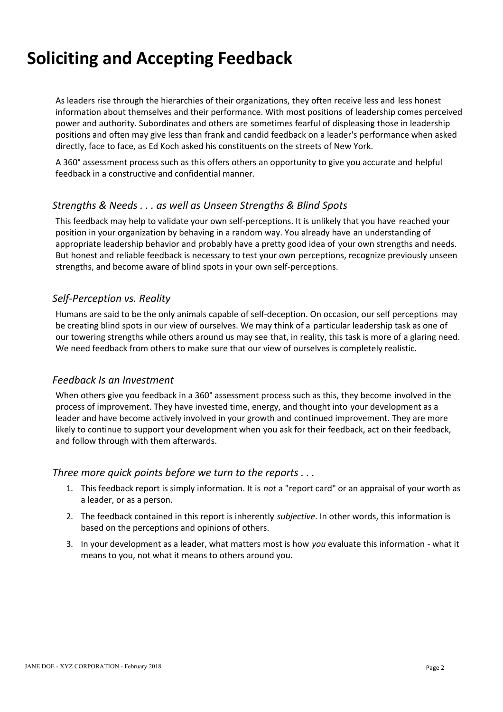# **Soliciting and Accepting Feedback**

As leaders rise through the hierarchies of their organizations, they often receive less and less honest information about themselves and their performance. With most positions of leadership comes perceived power and authority. Subordinates and others are sometimes fearful of displeasing those in leadership positions and often may give less than frank and candid feedback on a leader's performance when asked directly, face to face, as Ed Koch asked his constituents on the streets of New York.

A 360° assessment process such as this offers others an opportunity to give you accurate and helpful feedback in a constructive and confidential manner.

### *Strengths & Needs . . . as well as Unseen Strengths & Blind Spots*

This feedback may help to validate your own self-perceptions. It is unlikely that you have reached your position in your organization by behaving in a random way. You already have an understanding of appropriate leadership behavior and probably have a pretty good idea of your own strengths and needs. But honest and reliable feedback is necessary to test your own perceptions, recognize previously unseen strengths, and become aware of blind spots in your own self-perceptions.

### *Self-Perception vs. Reality*

Humans are said to be the only animals capable of self-deception. On occasion, our self perceptions may be creating blind spots in our view of ourselves. We may think of a particular leadership task as one of our towering strengths while others around us may see that, in reality, this task is more of a glaring need. We need feedback from others to make sure that our view of ourselves is completely realistic.

### *Feedback Is an Investment*

When others give you feedback in a 360° assessment process such as this, they become involved in the process of improvement. They have invested time, energy, and thought into your development as a leader and have become actively involved in your growth and continued improvement. They are more likely to continue to support your development when you ask for their feedback, act on their feedback, and follow through with them afterwards.

### *Three more quick points before we turn to the reports . . .*

- 1. This feedback report is simply information. It is *not* a "report card" or an appraisal of your worth as a leader, or as a person.
- 2. The feedback contained in this report is inherently *subjective*. In other words, this information is based on the perceptions and opinions of others.
- 3. In your development as a leader, what matters most is how *you* evaluate this information what it means to you, not what it means to others around you.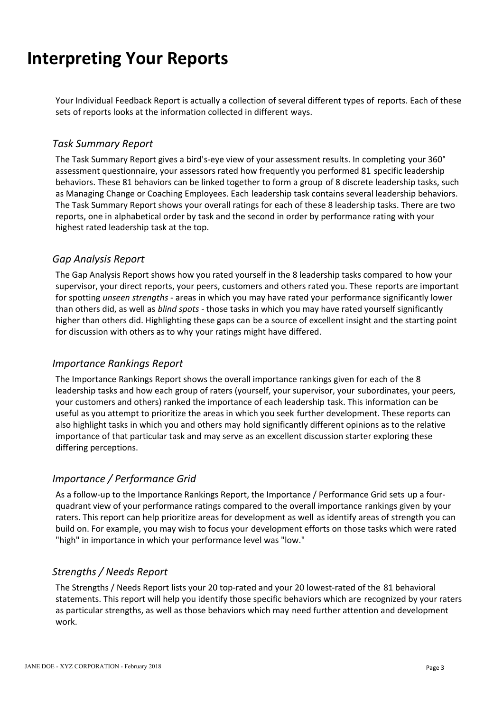# **Interpreting Your Reports**

Your Individual Feedback Report is actually a collection of several different types of reports. Each of these sets of reports looks at the information collected in different ways.

### *Task Summary Report*

The Task Summary Report gives a bird's-eye view of your assessment results. In completing your 360° assessment questionnaire, your assessors rated how frequently you performed 81 specific leadership behaviors. These 81 behaviors can be linked together to form a group of 8 discrete leadership tasks, such as Managing Change or Coaching Employees. Each leadership task contains several leadership behaviors. The Task Summary Report shows your overall ratings for each of these 8 leadership tasks. There are two reports, one in alphabetical order by task and the second in order by performance rating with your highest rated leadership task at the top.

### *Gap Analysis Report*

The Gap Analysis Report shows how you rated yourself in the 8 leadership tasks compared to how your supervisor, your direct reports, your peers, customers and others rated you. These reports are important for spotting *unseen strengths* - areas in which you may have rated your performance significantly lower than others did, as well as *blind spots* - those tasks in which you may have rated yourself significantly higher than others did. Highlighting these gaps can be a source of excellent insight and the starting point for discussion with others as to why your ratings might have differed.

### *Importance Rankings Report*

The Importance Rankings Report shows the overall importance rankings given for each of the 8 leadership tasks and how each group of raters (yourself, your supervisor, your subordinates, your peers, your customers and others) ranked the importance of each leadership task. This information can be useful as you attempt to prioritize the areas in which you seek further development. These reports can also highlight tasks in which you and others may hold significantly different opinions as to the relative importance of that particular task and may serve as an excellent discussion starter exploring these differing perceptions.

### *Importance / Performance Grid*

As a follow-up to the Importance Rankings Report, the Importance / Performance Grid sets up a fourquadrant view of your performance ratings compared to the overall importance rankings given by your raters. This report can help prioritize areas for development as well as identify areas of strength you can build on. For example, you may wish to focus your development efforts on those tasks which were rated "high" in importance in which your performance level was "low."

### *Strengths / Needs Report*

The Strengths / Needs Report lists your 20 top-rated and your 20 lowest-rated of the 81 behavioral statements. This report will help you identify those specific behaviors which are recognized by your raters as particular strengths, as well as those behaviors which may need further attention and development work.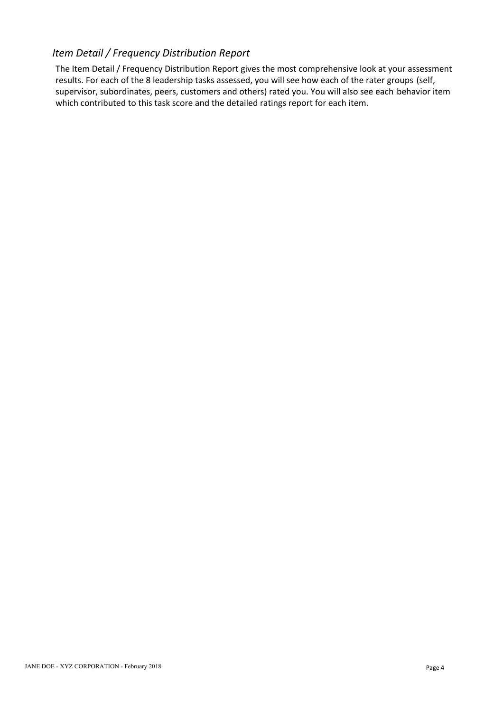### *Item Detail / Frequency Distribution Report*

The Item Detail / Frequency Distribution Report gives the most comprehensive look at your assessment results. For each of the 8 leadership tasks assessed, you will see how each of the rater groups (self, supervisor, subordinates, peers, customers and others) rated you. You will also see each behavior item which contributed to this task score and the detailed ratings report for each item.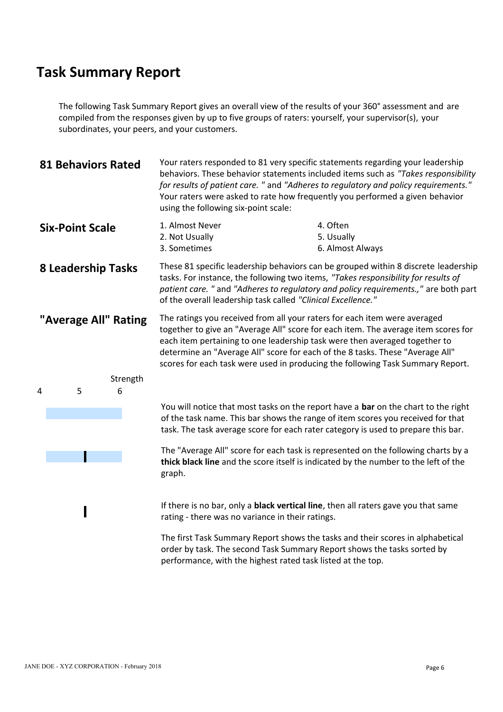The following Task Summary Report gives an overall view of the results of your 360° assessment and are compiled from the responses given by up to five groups of raters: yourself, your supervisor(s), your subordinates, your peers, and your customers.

| <b>81 Behaviors Rated</b> | Your raters responded to 81 very specific statements regarding your leadership<br>behaviors. These behavior statements included items such as "Takes responsibility<br>for results of patient care. " and "Adheres to regulatory and policy requirements."<br>Your raters were asked to rate how frequently you performed a given behavior<br>using the following six-point scale:                               |  |  |  |  |  |  |  |  |  |
|---------------------------|------------------------------------------------------------------------------------------------------------------------------------------------------------------------------------------------------------------------------------------------------------------------------------------------------------------------------------------------------------------------------------------------------------------|--|--|--|--|--|--|--|--|--|
| <b>Six-Point Scale</b>    | 4. Often<br>1. Almost Never<br>2. Not Usually<br>5. Usually<br>3. Sometimes<br>6. Almost Always                                                                                                                                                                                                                                                                                                                  |  |  |  |  |  |  |  |  |  |
| <b>8 Leadership Tasks</b> | These 81 specific leadership behaviors can be grouped within 8 discrete leadership<br>tasks. For instance, the following two items, "Takes responsibility for results of<br>patient care. " and "Adheres to regulatory and policy requirements.," are both part<br>of the overall leadership task called "Clinical Excellence."                                                                                  |  |  |  |  |  |  |  |  |  |
| "Average All" Rating      | The ratings you received from all your raters for each item were averaged<br>together to give an "Average All" score for each item. The average item scores for<br>each item pertaining to one leadership task were then averaged together to<br>determine an "Average All" score for each of the 8 tasks. These "Average All"<br>scores for each task were used in producing the following Task Summary Report. |  |  |  |  |  |  |  |  |  |
| Strength<br>6<br>5        |                                                                                                                                                                                                                                                                                                                                                                                                                  |  |  |  |  |  |  |  |  |  |
|                           | You will notice that most tasks on the report have a bar on the chart to the right<br>of the task name. This bar shows the range of item scores you received for that<br>task. The task average score for each rater category is used to prepare this bar.                                                                                                                                                       |  |  |  |  |  |  |  |  |  |
|                           | The "Average All" score for each task is represented on the following charts by a<br>thick black line and the score itself is indicated by the number to the left of the<br>graph.                                                                                                                                                                                                                               |  |  |  |  |  |  |  |  |  |
|                           | If there is no bar, only a <b>black vertical line</b> , then all raters gave you that same<br>rating - there was no variance in their ratings.                                                                                                                                                                                                                                                                   |  |  |  |  |  |  |  |  |  |
|                           | The first Task Summary Report shows the tasks and their scores in alphabetical<br>order by task. The second Task Summary Report shows the tasks sorted by                                                                                                                                                                                                                                                        |  |  |  |  |  |  |  |  |  |

performance, with the highest rated task listed at the top.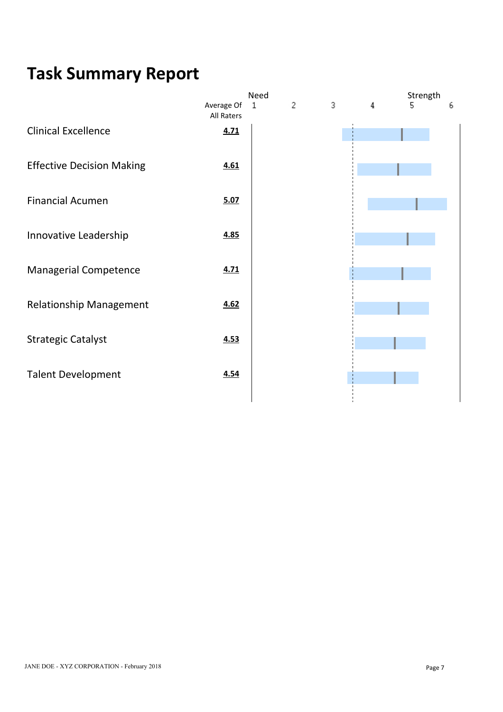|                                  |                          | Need         |                |   |   | Strength |   |
|----------------------------------|--------------------------|--------------|----------------|---|---|----------|---|
|                                  | Average Of<br>All Raters | $\mathbf{1}$ | $\overline{c}$ | 3 | 4 | 5        | ь |
| <b>Clinical Excellence</b>       | 4.71                     |              |                |   |   |          |   |
| <b>Effective Decision Making</b> | 4.61                     |              |                |   |   |          |   |
| <b>Financial Acumen</b>          | 5.07                     |              |                |   |   |          |   |
| Innovative Leadership            | 4.85                     |              |                |   |   |          |   |
| Managerial Competence            | 4.71                     |              |                |   |   |          |   |
| <b>Relationship Management</b>   | 4.62                     |              |                |   |   |          |   |
| <b>Strategic Catalyst</b>        | 4.53                     |              |                |   |   |          |   |
| <b>Talent Development</b>        | 4.54                     |              |                |   |   |          |   |
|                                  |                          |              |                |   |   |          |   |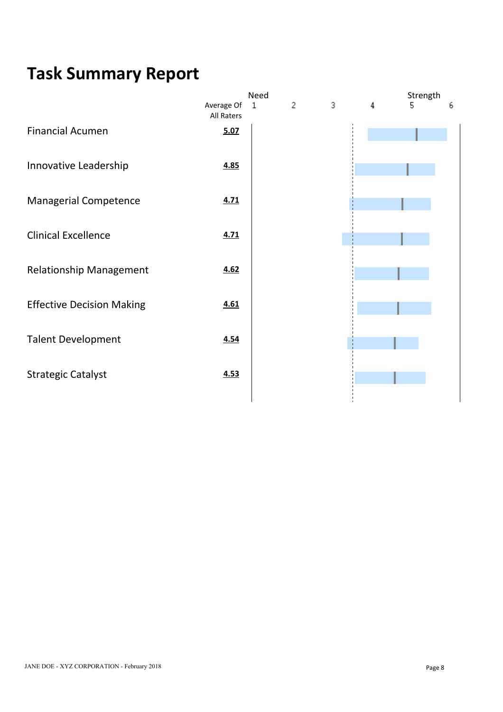|                                  |                          | Need         |                |   |   | Strength |   |
|----------------------------------|--------------------------|--------------|----------------|---|---|----------|---|
|                                  | Average Of<br>All Raters | $\mathbf{1}$ | $\overline{c}$ | 3 | 4 | 5        | ь |
| <b>Financial Acumen</b>          | 5.07                     |              |                |   |   |          |   |
| Innovative Leadership            | 4.85                     |              |                |   |   |          |   |
| Managerial Competence            | 4.71                     |              |                |   |   |          |   |
| <b>Clinical Excellence</b>       | 4.71                     |              |                |   |   |          |   |
| <b>Relationship Management</b>   | 4.62                     |              |                |   |   |          |   |
| <b>Effective Decision Making</b> | 4.61                     |              |                |   |   |          |   |
| <b>Talent Development</b>        | 4.54                     |              |                |   |   |          |   |
| <b>Strategic Catalyst</b>        | 4.53                     |              |                |   |   |          |   |
|                                  |                          |              |                |   |   |          |   |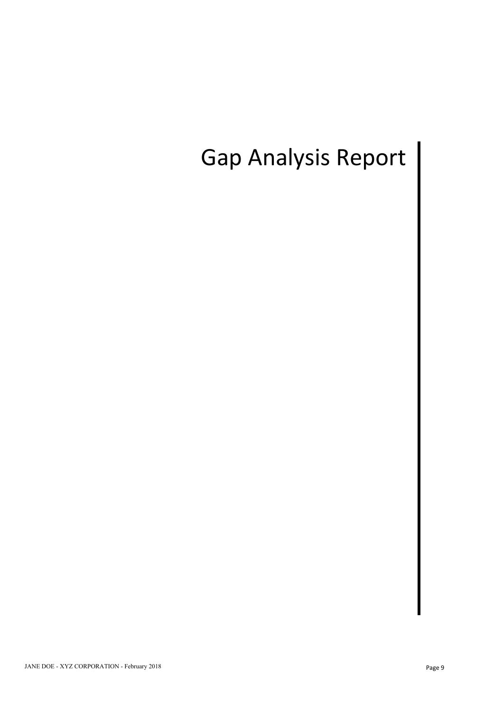# Gap Analysis Report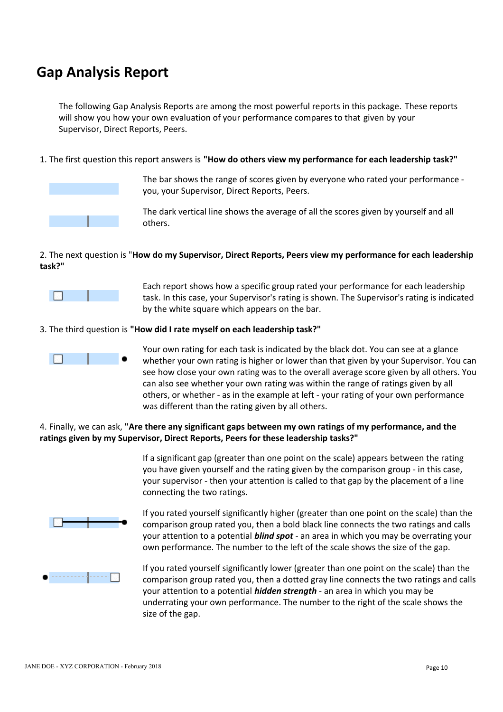## **Gap Analysis Report**

The following Gap Analysis Reports are among the most powerful reports in this package. These reports will show you how your own evaluation of your performance compares to that given by your Supervisor, Direct Reports, Peers.

1. The first question this report answers is **"How do others view my performance for each leadership task?"**



The bar shows the range of scores given by everyone who rated your performance you, your Supervisor, Direct Reports, Peers.

The dark vertical line shows the average of all the scores given by yourself and all others.

### 2. The next question is "**How do my Supervisor, Direct Reports, Peers view my performance for each leadership task?"**



Each report shows how a specific group rated your performance for each leadership task. In this case, your Supervisor's rating is shown. The Supervisor's rating is indicated by the white square which appears on the bar.

### 3. The third question is **"How did I rate myself on each leadership task?"**



Your own rating for each task is indicated by the black dot. You can see at a glance whether your own rating is higher or lower than that given by your Supervisor. You can see how close your own rating was to the overall average score given by all others. You can also see whether your own rating was within the range of ratings given by all others, or whether - as in the example at left - your rating of your own performance was different than the rating given by all others.

### 4. Finally, we can ask, **"Are there any significant gaps between my own ratings of my performance, and the ratings given by my Supervisor, Direct Reports, Peers for these leadership tasks?"**

If a significant gap (greater than one point on the scale) appears between the rating you have given yourself and the rating given by the comparison group - in this case, your supervisor - then your attention is called to that gap by the placement of a line connecting the two ratings.



If you rated yourself significantly higher (greater than one point on the scale) than the comparison group rated you, then a bold black line connects the two ratings and calls your attention to a potential *blind spot* - an area in which you may be overrating your own performance. The number to the left of the scale shows the size of the gap.



If you rated yourself significantly lower (greater than one point on the scale) than the comparison group rated you, then a dotted gray line connects the two ratings and calls your attention to a potential *hidden strength* - an area in which you may be underrating your own performance. The number to the right of the scale shows the size of the gap.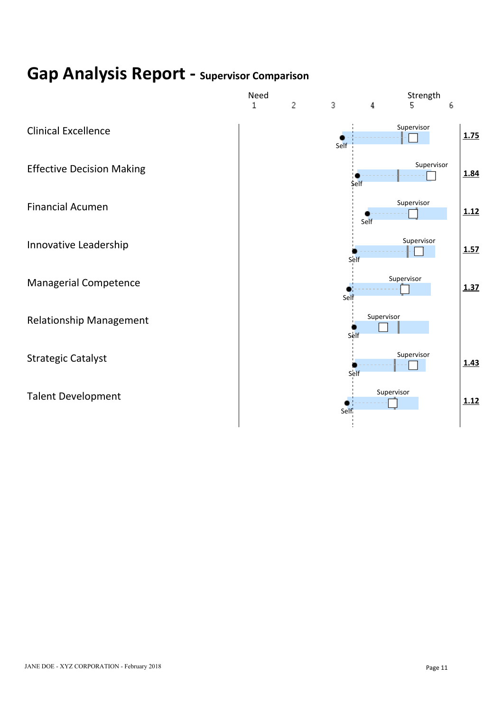# **Gap Analysis Report - Supervisor Comparison**

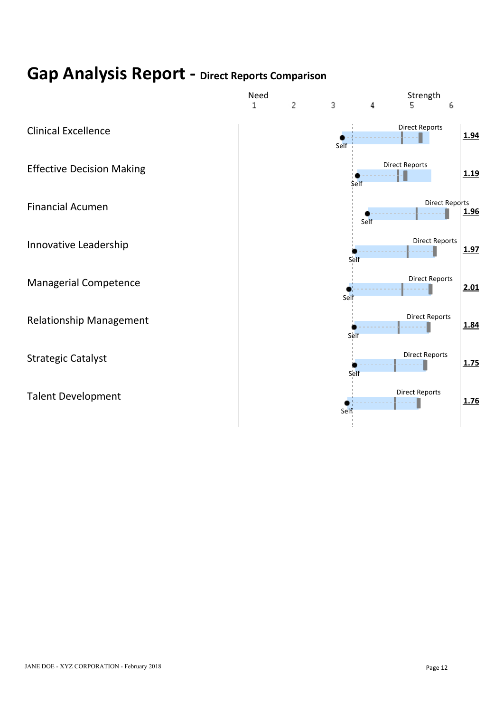# **Gap Analysis Report - Direct Reports Comparison**

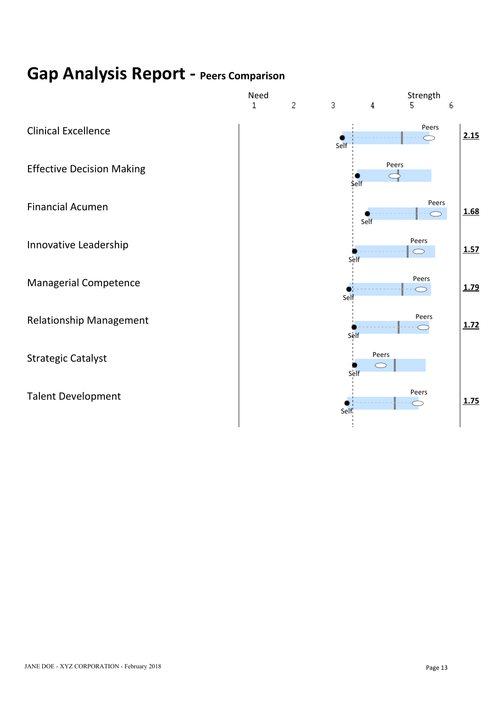# **Gap Analysis Report - Peers Comparison**

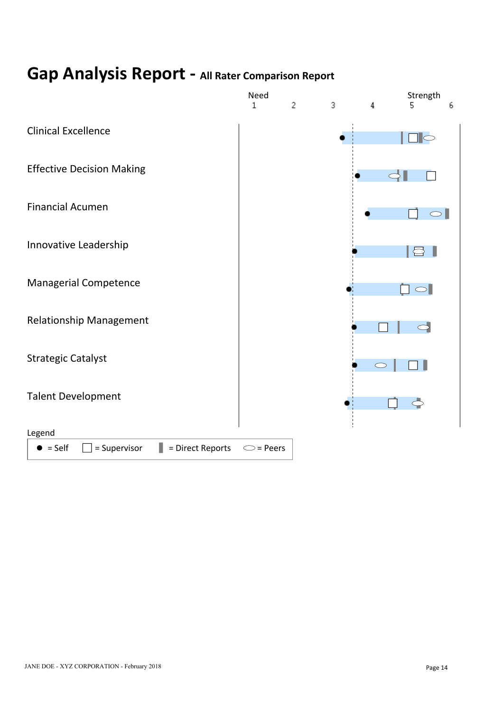# **Gap Analysis Report - All Rater Comparison Report**

![](_page_14_Figure_1.jpeg)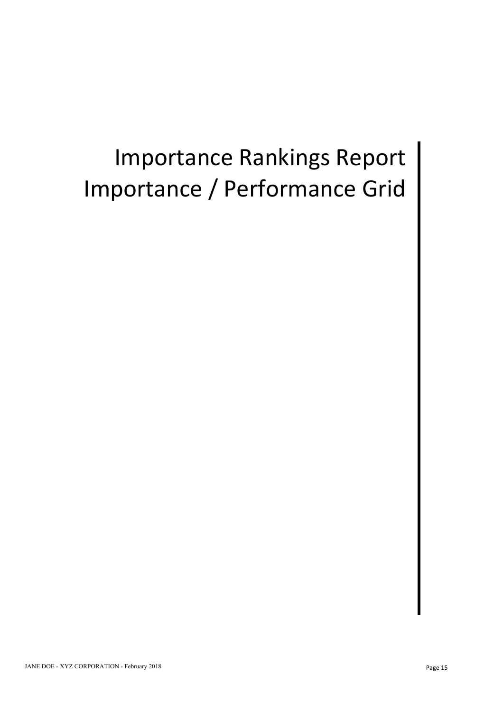# Importance Rankings Report Importance / Performance Grid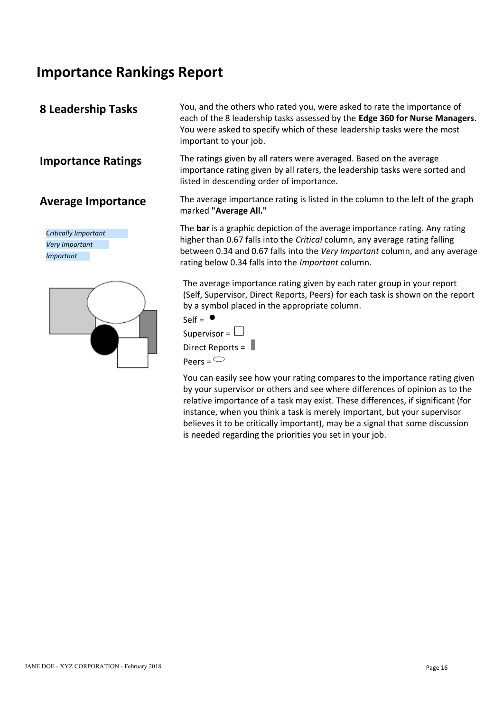## **Importance Rankings Report**

*Critically Important Very Important Important*

![](_page_16_Picture_5.jpeg)

**8 Leadership Tasks** You, and the others who rated you, were asked to rate the importance of each of the 8 leadership tasks assessed by the **Edge 360 for Nurse Managers**. You were asked to specify which of these leadership tasks were the most important to your job.

**Importance Ratings** The ratings given by all raters were averaged. Based on the average importance rating given by all raters, the leadership tasks were sorted and listed in descending order of importance.

**Average Importance** The average importance rating is listed in the column to the left of the graph marked **"Average All."**

> The **bar** is a graphic depiction of the average importance rating. Any rating higher than 0.67 falls into the *Critical* column, any average rating falling between 0.34 and 0.67 falls into the *Very Important* column, and any average rating below 0.34 falls into the *Important* column.

> The average importance rating given by each rater group in your report (Self, Supervisor, Direct Reports, Peers) for each task is shown on the report by a symbol placed in the appropriate column.

![](_page_16_Figure_11.jpeg)

You can easily see how your rating compares to the importance rating given by your supervisor or others and see where differences of opinion as to the relative importance of a task may exist. These differences, if significant (for instance, when you think a task is merely important, but your supervisor believes it to be critically important), may be a signal that some discussion is needed regarding the priorities you set in your job.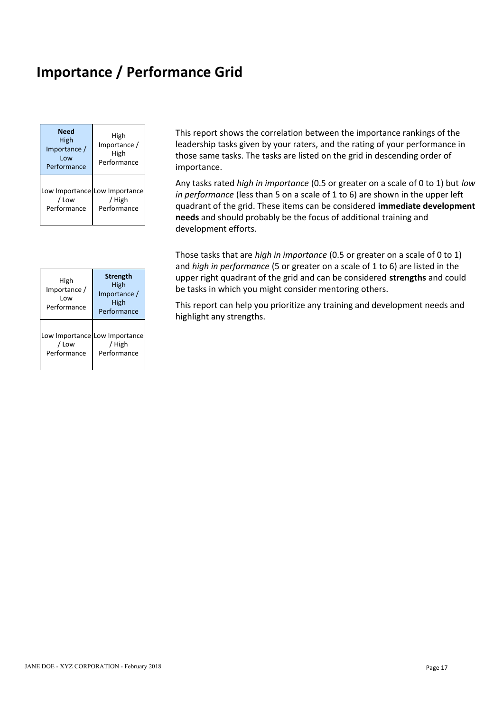# **Importance / Performance Grid**

| <b>Need</b><br><b>High</b><br>Importance /<br>Low<br>Performance | High<br>Importance /<br>High<br>Performance            | This report shows t<br>leadership tasks giv<br>those same tasks. T<br>importance.        |
|------------------------------------------------------------------|--------------------------------------------------------|------------------------------------------------------------------------------------------|
| / Low<br>Performance                                             | Low Importance Low Importance<br>/ High<br>Performance | Any tasks rated hig<br>in performance (les<br>quadrant of the grid<br>needs and should p |

|                                            |                                                                | and <i>man in performance</i> to be given                                                                                               |
|--------------------------------------------|----------------------------------------------------------------|-----------------------------------------------------------------------------------------------------------------------------------------|
| High<br>Importance /<br>Low<br>Performance | <b>Strength</b><br>High<br>Importance /<br>High<br>Performance | upper right quadrant of the grid<br>be tasks in which you might cons<br>This report can help you prioritize<br>highlight any strengths. |
| / Low<br>Performance                       | Low Importance Low Importance<br><b>High</b><br>Performance    |                                                                                                                                         |

**Need** High **High** This report shows the correlation between the importance rankings of the High | Importance / | leadership tasks given by your raters, and the rating of your performance in High High those same tasks. The tasks are listed on the grid in descending order of Performance Performance **importance**.

 $\frac{1}{2}$  / High  $\frac{1}{2}$  / High  $\frac{1}{2}$  / High  $\frac{1}{2}$  /  $\frac{1}{2}$  /  $\frac{1}{2}$  /  $\frac{1}{2}$  /  $\frac{1}{2}$  /  $\frac{1}{2}$  /  $\frac{1}{2}$  /  $\frac{1}{2}$  /  $\frac{1}{2}$  /  $\frac{1}{2}$  /  $\frac{1}{2}$  /  $\frac{1}{2}$  /  $\frac{1}{2}$  /  $\frac{1}{2}$  /  $\$ Performance Performance quadrant of the grid. These items can be considered **immediate development** Low Importance  $\begin{bmatrix} 1 & 1 \\ 0 & 1 \end{bmatrix}$  in performance (loss than 5 on a) / High *in performance* (less than 5 on a scale of 1 to 6) are shown in the upper left Any tasks rated *high in importance* (0.5 or greater on a scale of 0 to 1) but *low* **needs** and should probably be the focus of additional training and development efforts.

High
labress and could
ing the strength
ingh
and could
ingh
the grid and can be considered **strengths** and could  $\frac{m_{\text{min}}}{m_{\text{postness}}}$  High be tasks in which you might co  $\frac{H_{\text{IBD}}}{H_{\text{SD}}}\left| \right|$  be tasks in which you might consider mentoring others. Those tasks that are *high in importance* (0.5 or greater on a scale of 0 to 1) and *high in performance* (5 or greater on a scale of 1 to 6) are listed in the

Performance High High This report can help you prioritize any training and development needs and Performance highlight any strengths.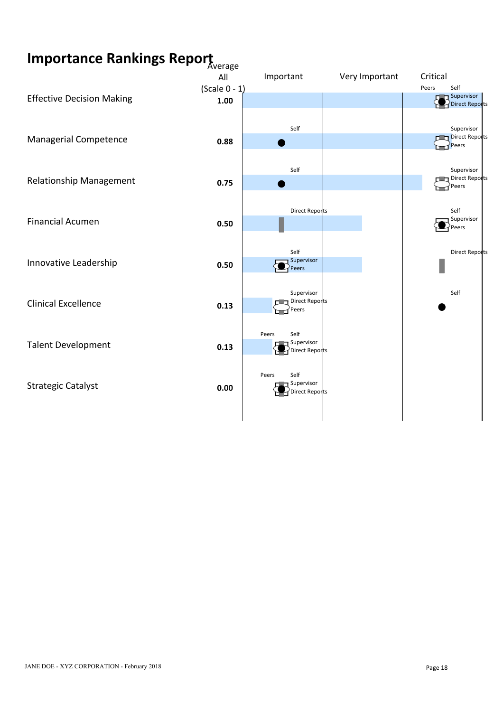# **Importance Rankings Report** Average

![](_page_18_Figure_1.jpeg)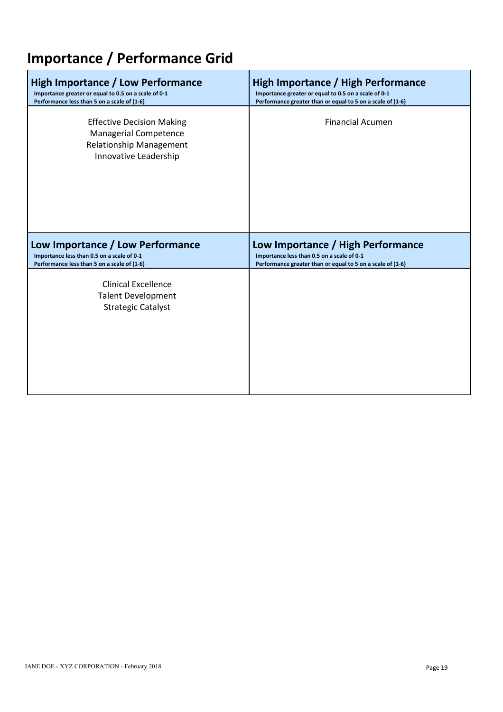# **Importance / Performance Grid**

| High Importance / Low Performance                                                                                    | <b>High Importance / High Performance</b>                  |
|----------------------------------------------------------------------------------------------------------------------|------------------------------------------------------------|
| Importance greater or equal to 0.5 on a scale of 0-1                                                                 | Importance greater or equal to 0.5 on a scale of 0-1       |
| Performance less than 5 on a scale of (1-6)                                                                          | Performance greater than or equal to 5 on a scale of (1-6) |
| <b>Effective Decision Making</b><br>Managerial Competence<br><b>Relationship Management</b><br>Innovative Leadership | <b>Financial Acumen</b>                                    |
| Low Importance / Low Performance                                                                                     | Low Importance / High Performance                          |
| Importance less than 0.5 on a scale of 0-1                                                                           | Importance less than 0.5 on a scale of 0-1                 |
| Performance less than 5 on a scale of (1-6)                                                                          | Performance greater than or equal to 5 on a scale of (1-6) |
| <b>Clinical Excellence</b><br><b>Talent Development</b><br><b>Strategic Catalyst</b>                                 |                                                            |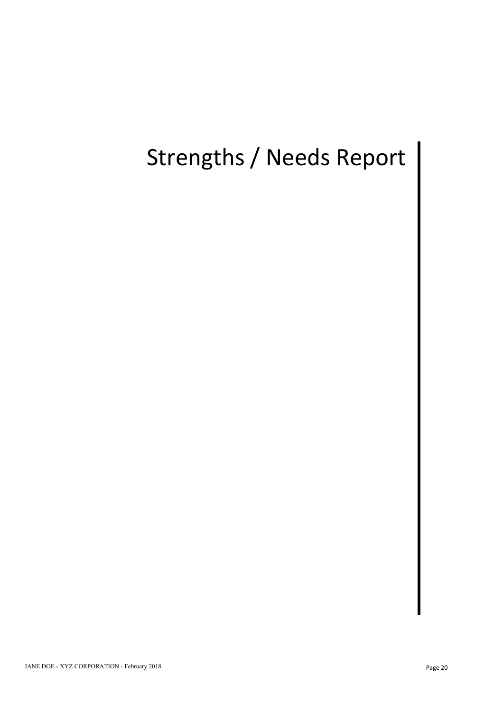# Strengths / Needs Report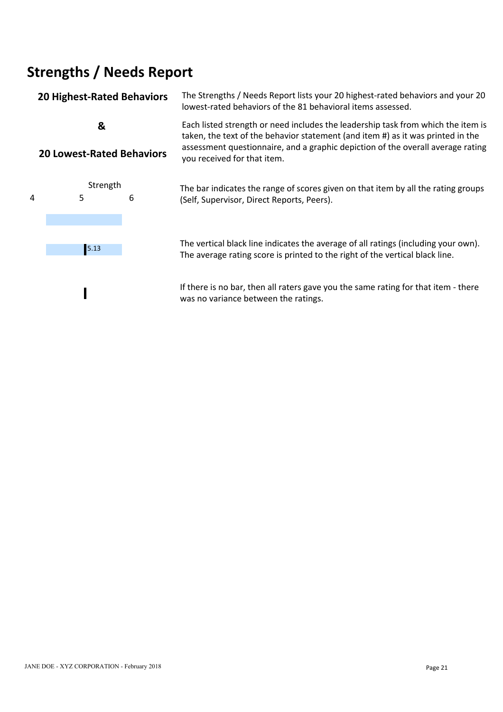# **Strengths / Needs Report**

### **20 Highest-Rated Behaviors** The Strengths / Needs Report lists your 20 highest-rated behaviors and your 20 lowest-rated behaviors of the 81 behavioral items assessed. **&**  Each listed strength or need includes the leadership task from which the item is **20 Lowest-Rated Behaviors** taken, the text of the behavior statement (and item #) as it was printed in the assessment questionnaire, and a graphic depiction of the overall average rating you received for that item. Strength The bar indicates the range of scores given on that item by all the rating groups<br>5 6 (Self Supervisor Direct Reports Peers) 4 5 6 (Self, Supervisor, Direct Reports, Peers).

![](_page_21_Figure_2.jpeg)

The vertical black line indicates the average of all ratings (including your own). 5.13 The average rating score is printed to the right of the vertical black line.

> If there is no bar, then all raters gave you the same rating for that item - there was no variance between the ratings.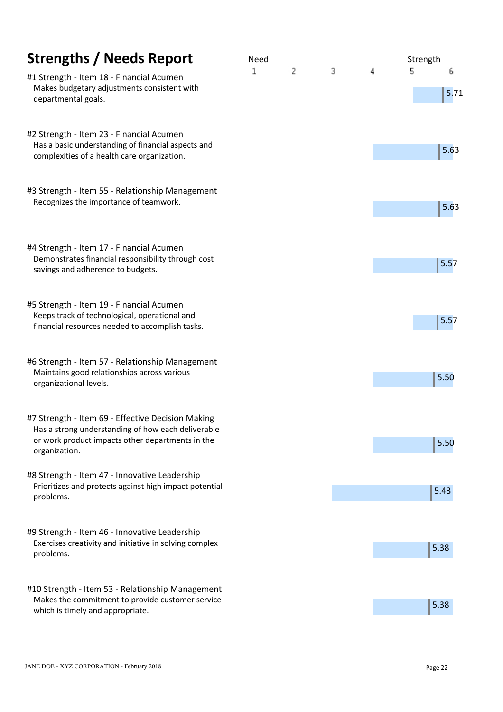| <b>Strengths / Needs Report</b>                                                                                                                                              | Need   | Strength   |
|------------------------------------------------------------------------------------------------------------------------------------------------------------------------------|--------|------------|
| #1 Strength - Item 18 - Financial Acumen<br>Makes budgetary adjustments consistent with<br>departmental goals.                                                               | 3<br>2 | 5.<br>5.71 |
| #2 Strength - Item 23 - Financial Acumen<br>Has a basic understanding of financial aspects and<br>complexities of a health care organization.                                |        | $5.63$     |
| #3 Strength - Item 55 - Relationship Management<br>Recognizes the importance of teamwork.                                                                                    |        | 5.63       |
| #4 Strength - Item 17 - Financial Acumen<br>Demonstrates financial responsibility through cost<br>savings and adherence to budgets.                                          |        | 5.57       |
| #5 Strength - Item 19 - Financial Acumen<br>Keeps track of technological, operational and<br>financial resources needed to accomplish tasks.                                 |        | 5.57       |
| #6 Strength - Item 57 - Relationship Management<br>Maintains good relationships across various<br>organizational levels.                                                     |        | 5.50       |
| #7 Strength - Item 69 - Effective Decision Making<br>Has a strong understanding of how each deliverable<br>or work product impacts other departments in the<br>organization. |        | 5.50       |
| #8 Strength - Item 47 - Innovative Leadership<br>Prioritizes and protects against high impact potential<br>problems.                                                         |        | $5.43$     |
| #9 Strength - Item 46 - Innovative Leadership<br>Exercises creativity and initiative in solving complex<br>problems.                                                         |        | 5.38       |
| #10 Strength - Item 53 - Relationship Management<br>Makes the commitment to provide customer service<br>which is timely and appropriate.                                     |        | 5.38       |
|                                                                                                                                                                              |        |            |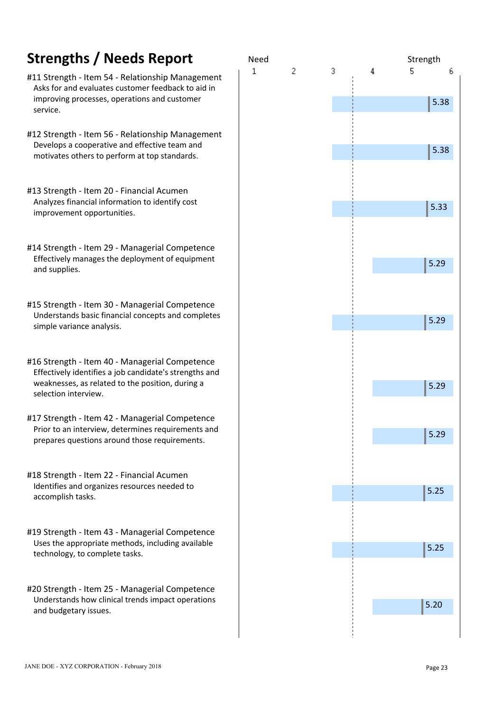- #11 Strength Item 54 Relationship Management Asks for and evaluates customer feedback to aid in improving processes, operations and customer service.
- #12 Strength Item 56 Relationship Management Develops a cooperative and effective team and motivates others to perform at top standards.
- #13 Strength Item 20 Financial Acumen Analyzes financial information to identify cost improvement opportunities.
- #14 Strength Item 29 Managerial Competence Effectively manages the deployment of equipment and supplies.
- #15 Strength Item 30 Managerial Competence Understands basic financial concepts and completes simple variance analysis.
- #16 Strength Item 40 Managerial Competence Effectively identifies a job candidate's strengths and weaknesses, as related to the position, during a selection interview.
- #17 Strength Item 42 Managerial Competence Prior to an interview, determines requirements and prepares questions around those requirements.
- #18 Strength Item 22 Financial Acumen Identifies and organizes resources needed to accomplish tasks.
- #19 Strength Item 43 Managerial Competence Uses the appropriate methods, including available technology, to complete tasks.
- #20 Strength Item 25 Managerial Competence Understands how clinical trends impact operations and budgetary issues.

![](_page_23_Figure_11.jpeg)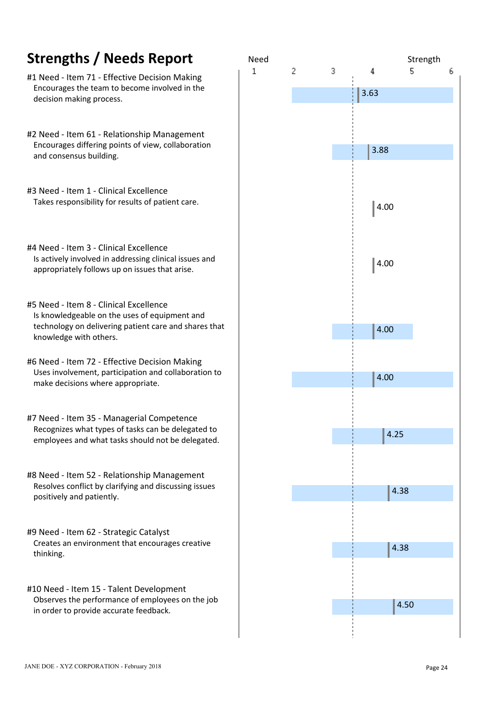- #1 Need Item 71 Effective Decision Making Encourages the team to become involved in the **Encourages** the team to become involved in the **Encourage 1** 3.63 decision making process.
- #2 Need Item 61 Relationship Management Encourages differing points of view, collaboration **Encourages** differing points of view, collaboration and consensus building.
- #3 Need Item 1 Clinical Excellence Takes responsibility for results of patient care.
- #4 Need Item 3 Clinical Excellence Is actively involved in addressing clinical issues and  $\blacksquare$  4.00 appropriately follows up on issues that arise.
- #5 Need Item 8 Clinical Excellence Is knowledgeable on the uses of equipment and technology on delivering patient care and shares that knowledge with others.
- #6 Need Item 72 Effective Decision Making Uses involvement, participation and collaboration to provide the collaboration of the state of the state of the  $\parallel$  4.00 make decisions where appropriate.
- #7 Need Item 35 Managerial Competence Recognizes what types of tasks can be delegated to **Exercise 2018** 125 employees and what tasks should not be delegated.
- #8 Need Item 52 Relationship Management Resolves conflict by clarifying and discussing issues positively and patiently.
- #9 Need Item 62 Strategic Catalyst Creates an environment that encourages creative **Exercise 1986** and 1988 and 1988 and 1988 and 1988 and 1988 and 1988 and 1988 and 1988 and 1988 and 1988 and 1988 and 1988 and 1988 and 1988 and 1988 and 1988 and 1988 and 1 thinking.
- #10 Need Item 15 Talent Development Observes the performance of employees on the job in order to provide accurate feedback.

![](_page_24_Figure_11.jpeg)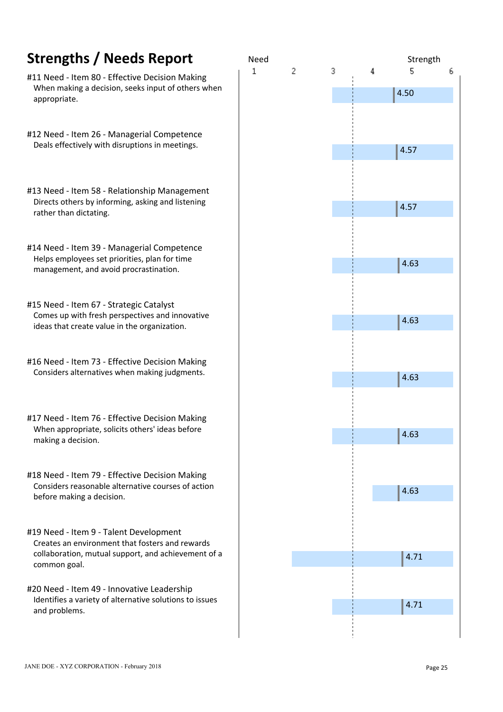| <b>Strengths / Needs Report</b>                                                                      | <b>Need</b> |   |   |   | Stre |
|------------------------------------------------------------------------------------------------------|-------------|---|---|---|------|
| #11 Need - Item 80 - Effective Decision Making<br>When making a decision, seeks input of others when | 1           | 2 | 3 | 4 | 5    |
| appropriate.                                                                                         |             |   |   |   | 4.50 |
|                                                                                                      |             |   |   |   |      |
| #12 Need - Item 26 - Managerial Competence<br>Deals effectively with disruptions in meetings.        |             |   |   |   | 4.57 |
|                                                                                                      |             |   |   |   |      |
| #13 Need - Item 58 - Relationship Management                                                         |             |   |   |   |      |
| Directs others by informing, asking and listening<br>rather than dictating.                          |             |   |   |   | 4.57 |
|                                                                                                      |             |   |   |   |      |
| #14 Need - Item 39 - Managerial Competence                                                           |             |   |   |   |      |
| Helps employees set priorities, plan for time<br>management, and avoid procrastination.              |             |   |   |   | 4.63 |
|                                                                                                      |             |   |   |   |      |
| #15 Need - Item 67 - Strategic Catalyst                                                              |             |   |   |   |      |
| Comes up with fresh perspectives and innovative<br>ideas that create value in the organization.      |             |   |   |   | 4.63 |
|                                                                                                      |             |   |   |   |      |
| #16 Need - Item 73 - Effective Decision Making                                                       |             |   |   |   |      |
| Considers alternatives when making judgments.                                                        |             |   |   |   | 4.63 |
|                                                                                                      |             |   |   |   |      |
|                                                                                                      |             |   |   |   |      |
| #17 Need - Item 76 - Effective Decision Making<br>When appropriate, solicits others' ideas before    |             |   |   |   |      |
| making a decision.                                                                                   |             |   |   |   | 4.63 |
|                                                                                                      |             |   |   |   |      |
| #18 Need - Item 79 - Effective Decision Making                                                       |             |   |   |   |      |
| Considers reasonable alternative courses of action<br>before making a decision.                      |             |   |   |   | 4.63 |
|                                                                                                      |             |   |   |   |      |
|                                                                                                      |             |   |   |   |      |
| #19 Need - Item 9 - Talent Development<br>Creates an environment that fosters and rewards            |             |   |   |   |      |
| collaboration, mutual support, and achievement of a                                                  |             |   |   |   | 4.71 |
| common goal.                                                                                         |             |   |   |   |      |
| #20 Need - Item 49 - Innovative Leadership                                                           |             |   |   |   |      |
| Identifies a variety of alternative solutions to issues<br>and problems.                             |             |   |   |   | 4.71 |

![](_page_25_Figure_1.jpeg)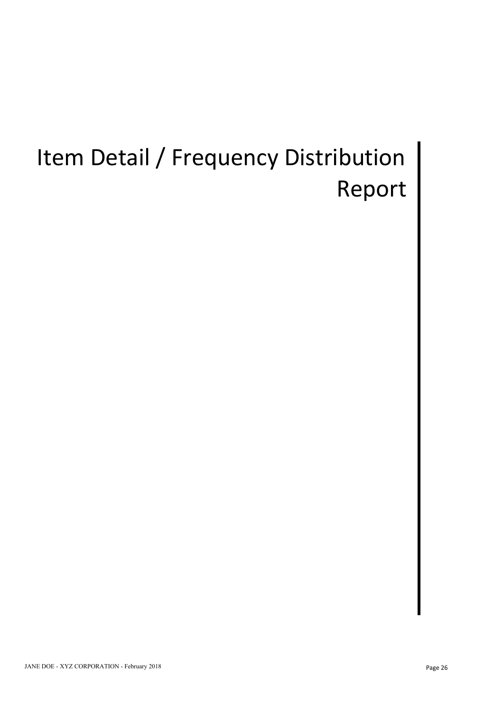# Item Detail / Frequency Distribution | Report |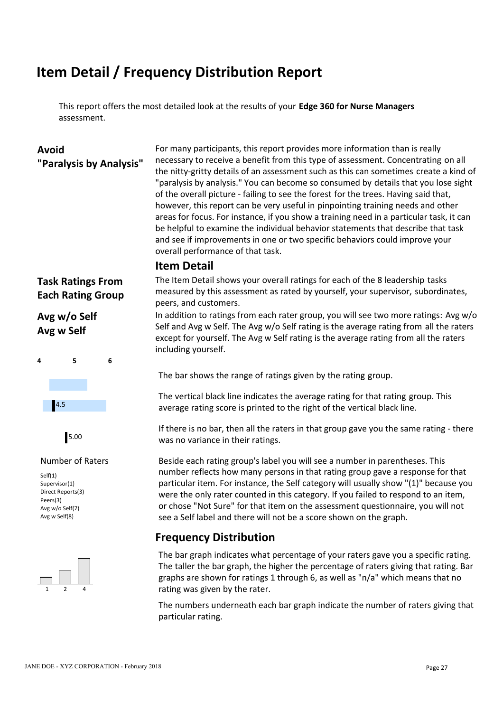## **Item Detail / Frequency Distribution Report**

This report offers the most detailed look at the results of your **Edge 360 for Nurse Managers** assessment.

**Avoid** For many participants, this report provides more information than is really **"Paralysis by Analysis"** necessary to receive a benefit from this type of assessment. Concentrating on all the nitty-gritty details of an assessment such as this can sometimes create a kind of "paralysis by analysis." You can become so consumed by details that you lose sight of the overall picture - failing to see the forest for the trees. Having said that, however, this report can be very useful in pinpointing training needs and other areas for focus. For instance, if you show a training need in a particular task, it can be helpful to examine the individual behavior statements that describe that task and see if improvements in one or two specific behaviors could improve your overall performance of that task.

### **Item Detail**

# **Avg w Self**

![](_page_27_Figure_8.jpeg)

![](_page_27_Figure_9.jpeg)

Self(1) Supervisor(1) Direct Reports(3) Peers(3) Avg w/o Self(7) Avg w Self(8)

![](_page_27_Figure_12.jpeg)

**Task Ratings From** The Item Detail shows your overall ratings for each of the 8 leadership tasks **Each Rating Group** measured by this assessment as rated by yourself, your supervisor, subordinates, peers, and customers.

**Avg w/o Self** In addition to ratings from each rater group, you will see two more ratings: Avg w/o Self and Avg w Self. The Avg w/o Self rating is the average rating from all the raters except for yourself. The Avg w Self rating is the average rating from all the raters including yourself.

The bar shows the range of ratings given by the rating group.

The vertical black line indicates the average rating for that rating group. This average rating score is printed to the right of the vertical black line. 4.5

If there is no bar, then all the raters in that group gave you the same rating - there was no variance in their ratings. 5.00

Number of Raters Beside each rating group's label you will see a number in parentheses. This number reflects how many persons in that rating group gave a response for that particular item. For instance, the Self category will usually show "(1)" because you were the only rater counted in this category. If you failed to respond to an item, or chose "Not Sure" for that item on the assessment questionnaire, you will not see a Self label and there will not be a score shown on the graph.

### **Frequency Distribution**

1 2 4 rating was given by the rater. The bar graph indicates what percentage of your raters gave you a specific rating. The taller the bar graph, the higher the percentage of raters giving that rating. Bar graphs are shown for ratings 1 through 6, as well as "n/a" which means that no

> The numbers underneath each bar graph indicate the number of raters giving that particular rating.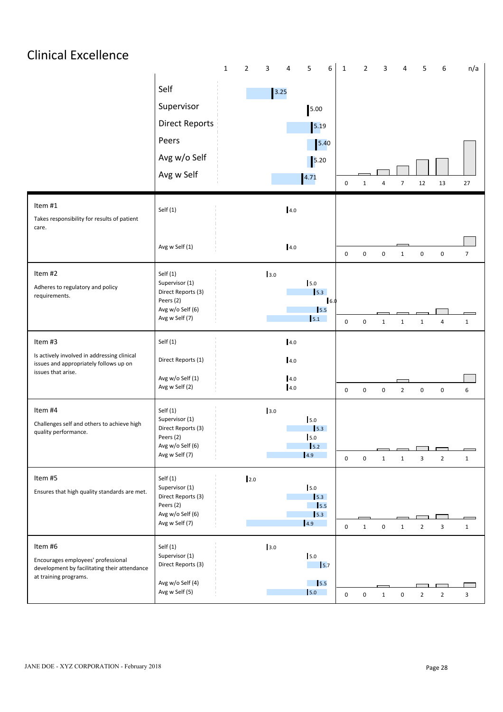# Clinical Excellence

|                                                                                                                        |                                                                                                     | $\overline{2}$<br>$\mathbf{1}$ | 3<br>4 | 5<br>6                                                                  | $\mathbf{1}$     | $\overline{2}$ | 3            | $\overline{4}$                 | 6<br>5                           | n/a            |  |
|------------------------------------------------------------------------------------------------------------------------|-----------------------------------------------------------------------------------------------------|--------------------------------|--------|-------------------------------------------------------------------------|------------------|----------------|--------------|--------------------------------|----------------------------------|----------------|--|
|                                                                                                                        | Self<br>Supervisor<br><b>Direct Reports</b><br>Peers<br>Avg w/o Self<br>Avg w Self                  |                                | $3.25$ | 5.00<br>$\boxed{5.19}$<br>$\boxed{5.40}$<br>5.20<br>4.71                | 0                | 1              | Δ            | 12<br>$\overline{7}$           | 13                               | 27             |  |
| Item #1<br>Takes responsibility for results of patient<br>care.                                                        | Self(1)                                                                                             |                                |        | 4.0                                                                     |                  |                |              |                                |                                  |                |  |
|                                                                                                                        | Avg w Self (1)                                                                                      |                                |        | $4.0\,$                                                                 | 0                | $\mathbf 0$    | $\mathbf 0$  | $\mathbf 0$<br>$\mathbf{1}$    | $\mathsf 0$                      | $\overline{7}$ |  |
| Item #2<br>Adheres to regulatory and policy<br>requirements.                                                           | Self(1)<br>Supervisor (1)<br>Direct Reports (3)<br>Peers (2)<br>Avg w/o Self (6)<br>Avg w Self (7)  |                                | 3.0    | 5.0<br>$\vert$ 5.3<br>6.0<br>$\mathsf{I}5.5$<br>5.1                     | $\boldsymbol{0}$ | $\mathbf 0$    | $\mathbf{1}$ | $\mathbf{1}$<br>$\mathbf{1}$   | $\overline{4}$                   | $\mathbf{1}$   |  |
| Item #3                                                                                                                | Self(1)                                                                                             |                                |        | $4.0\,$                                                                 |                  |                |              |                                |                                  |                |  |
| Is actively involved in addressing clinical<br>issues and appropriately follows up on<br>issues that arise.            | Direct Reports (1)<br>Avg w/o Self (1)<br>Avg w Self (2)                                            |                                |        | $4.0\,$<br>$4.0\,$<br>$4.0\,$                                           | 0                | $\mathbf 0$    | $\mathbf 0$  | $\overline{2}$<br>$\pmb{0}$    | $\mathbf 0$                      | 6              |  |
| Item #4<br>Challenges self and others to achieve high<br>quality performance.                                          | Self(1)<br>Supervisor (1)<br>Direct Reports (3)<br>Peers (2)<br>Avg w/o Self (6)<br>Avg w Self (7)  |                                | 3.0    | 5.0<br>$\vert$ 5.3<br>5.0<br>$\vert$ <sub>5.2</sub><br> 4.9             | $\mathbf 0$      | $\mathbf 0$    | $\mathbf{1}$ | 3<br>$\mathbf{1}$              | $\overline{2}$                   | $\mathbf{1}$   |  |
| Item #5<br>Ensures that high quality standards are met.                                                                | Self (1)<br>Supervisor (1)<br>Direct Reports (3)<br>Peers (2)<br>Avg w/o Self (6)<br>Avg w Self (7) | 12.0                           |        | 5.0<br>$\vert$ 5.3<br>$\frac{1}{5.5}$<br>$\vert$ <sub>5.3</sub><br> 4.9 | $\mathbf 0$      | $\mathbf{1}$   | $\mathbf 0$  | $\overline{2}$<br>$\mathbf{1}$ | $\mathbf{3}$                     | $\mathbf{1}$   |  |
| Item #6<br>Encourages employees' professional<br>development by facilitating their attendance<br>at training programs. | Self (1)<br>Supervisor (1)<br>Direct Reports (3)<br>Avg w/o Self (4)<br>Avg w Self (5)              |                                | 3.0    | 5.0<br>$\vert$ 5.7<br>$\frac{1}{5.5}$<br>$\vert$ 5.0                    |                  |                |              |                                |                                  |                |  |
|                                                                                                                        |                                                                                                     |                                |        |                                                                         | $\mathbf 0$      | $\mathbf 0$    | $\mathbf{1}$ | $\mathbf 0$                    | $\overline{2}$<br>$\overline{2}$ | $\mathbf{3}$   |  |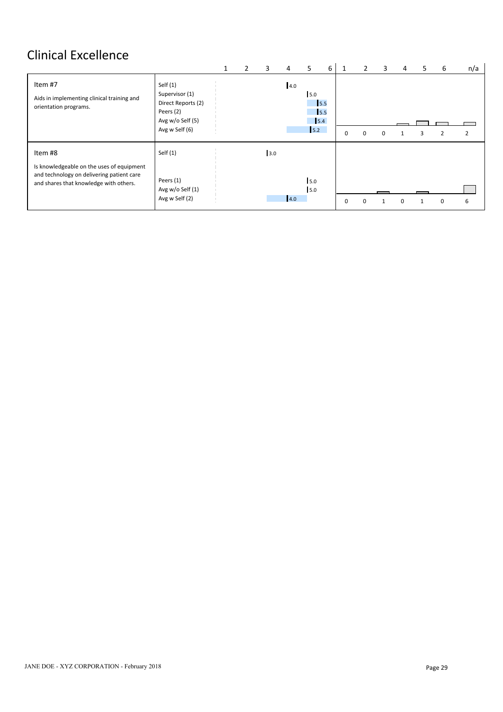# Clinical Excellence

|                                                                                                                                             |                                                                                                       | T | 3   | 4   | -5                                      | 6 | 1        | 2        | 3        | 4 | C. | 6        | n/a            |
|---------------------------------------------------------------------------------------------------------------------------------------------|-------------------------------------------------------------------------------------------------------|---|-----|-----|-----------------------------------------|---|----------|----------|----------|---|----|----------|----------------|
| Item #7<br>Aids in implementing clinical training and<br>orientation programs.                                                              | Self $(1)$<br>Supervisor (1)<br>Direct Reports (2)<br>Peers (2)<br>Avg w/o Self (5)<br>Avg w Self (6) |   |     | 4.0 | 5.0<br>$\vert$ 5.5<br>5.5<br>5.4<br>5.2 |   | 0        | $\Omega$ | $\Omega$ |   |    |          | $\overline{2}$ |
| Item #8<br>Is knowledgeable on the uses of equipment<br>and technology on delivering patient care<br>and shares that knowledge with others. | Self $(1)$<br>Peers (1)<br>Avg w/o Self (1)<br>Avg w Self (2)                                         |   | 3.0 | 4.0 | 5.0<br>5.0                              |   | $\Omega$ | $\Omega$ |          |   |    | $\Omega$ | 6              |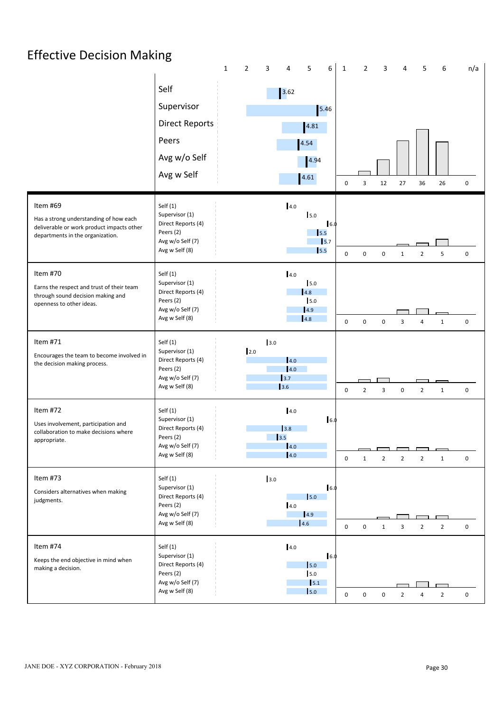# Effective Decision Making

|                                                                                                                                     | $\mathbf{1}$                                                                                        | $\overline{2}$<br>3<br>5<br>6<br>4                                                            | $\overline{2}$<br>6<br>$\mathbf{1}$<br>3<br>5<br>n/a<br>4                                            |
|-------------------------------------------------------------------------------------------------------------------------------------|-----------------------------------------------------------------------------------------------------|-----------------------------------------------------------------------------------------------|------------------------------------------------------------------------------------------------------|
|                                                                                                                                     | Self<br>Supervisor<br><b>Direct Reports</b><br>Peers<br>Avg w/o Self<br>Avg w Self                  | $\begin{array}{ c c }\n 3.62\n \end{array}$<br>$\boxed{5.46}$<br>4.81<br>4.54<br>4.94<br>4.61 | 12<br>27<br>36<br>$\mathbf 0$<br>0<br>3<br>26                                                        |
| Item #69<br>Has a strong understanding of how each<br>deliverable or work product impacts other<br>departments in the organization. | Self(1)<br>Supervisor (1)<br>Direct Reports (4)<br>Peers (2)<br>Avg w/o Self (7)<br>Avg w Self (8)  | 4.0<br>5.0<br>16.0<br>$\frac{1}{5.5}$<br>$\sqrt{5.7}$<br>$\vert$ <sub>5.5</sub>               | 0<br>$\mathbf 0$<br>$\mathbf 0$<br>$\overline{2}$<br>5<br>0<br>$\mathbf{1}$                          |
| Item #70<br>Earns the respect and trust of their team<br>through sound decision making and<br>openness to other ideas.              | Self(1)<br>Supervisor (1)<br>Direct Reports (4)<br>Peers (2)<br>Avg w/o Self (7)<br>Avg w Self (8)  | 4.0<br>5.0<br>4.8<br>5.0<br>4.9<br>4.8                                                        | $\mathbf 0$<br>$\mathbf 0$<br>$\mathbf 0$<br>3<br>$\overline{4}$<br>$\mathbf{1}$<br>$\mathbf 0$      |
| Item #71<br>Encourages the team to become involved in<br>the decision making process.                                               | Self(1)<br>Supervisor (1)<br>Direct Reports (4)<br>Peers (2)<br>Avg w/o Self (7)<br>Avg w Self (8)  | 3.0<br>2.0<br>4.0<br>4.0<br>$\begin{array}{c} 3.7 \end{array}$<br>3.6                         | $\overline{\mathbf{3}}$<br>$\overline{2}$<br>0<br>$\overline{2}$<br>$\mathbf 0$<br>$\mathbf{1}$<br>0 |
| Item #72<br>Uses involvement, participation and<br>collaboration to make decisions where<br>appropriate.                            | Self(1)<br>Supervisor (1)<br>Direct Reports (4)<br>Peers (2)<br>Avg w/o Self (7)<br>Avg w Self (8)  | 4.0<br>6.0<br>3.8<br>13.5<br>4.0<br>4.0                                                       | $\overline{2}$<br>0<br>0<br>$\overline{2}$<br>$\overline{2}$<br>$\mathbf{1}$<br>1                    |
| Item #73<br>Considers alternatives when making<br>judgments.                                                                        | Self(1)<br>Supervisor (1)<br>Direct Reports (4)<br>Peers (2)<br>Avg w/o Self (7)<br>Avg w Self (8)  | 3.0<br>6.0<br>$\vert$ 5.0<br>4.0<br> 4.9 <br>$\vert$ 4.6                                      | $\pmb{0}$<br>$\mathbf 0$<br>3<br>$\overline{2}$<br>$\overline{2}$<br>0<br>$\mathbf{1}$               |
| Item #74<br>Keeps the end objective in mind when<br>making a decision.                                                              | Self (1)<br>Supervisor (1)<br>Direct Reports (4)<br>Peers (2)<br>Avg w/o Self (7)<br>Avg w Self (8) | 4.0<br>16.0<br>$\mathsf{I}5.0$<br>5.0<br>$\vert$ 5.1<br>$\mathsf{I}5.0$                       | $\mathsf 0$<br>$\overline{2}$<br>$\overline{2}$<br>$\mathbf 0$<br>$\mathbf 0$<br>$\overline{4}$<br>0 |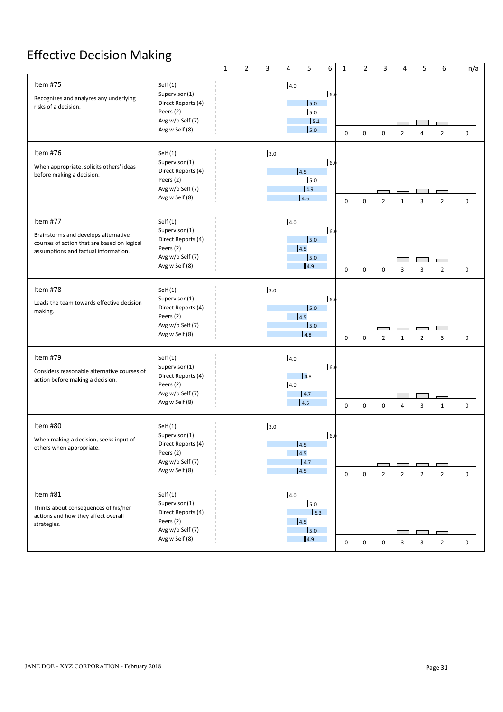# **Effective Decision Making**

|                                                                                                                                         |                                                                                                       | $\mathbf{1}$ | $\overline{2}$ | 3   | $\overline{4}$           | 5                                              | 6           | $\mathbf{1}$     | $\overline{2}$ | 3                                            | 4                                          | 5              | 6              | n/a         |  |
|-----------------------------------------------------------------------------------------------------------------------------------------|-------------------------------------------------------------------------------------------------------|--------------|----------------|-----|--------------------------|------------------------------------------------|-------------|------------------|----------------|----------------------------------------------|--------------------------------------------|----------------|----------------|-------------|--|
| Item #75<br>Recognizes and analyzes any underlying<br>risks of a decision.                                                              | Self $(1)$<br>Supervisor (1)<br>Direct Reports (4)<br>Peers (2)<br>Avg w/o Self (7)<br>Avg w Self (8) |              |                |     | 4.0                      | 5.0<br>5.0<br>$\vert$ 5.1<br>5.0               | 6.0         | $\mathbf 0$      | $\mathbf 0$    | $\mathbf 0$                                  | $\overline{2}$                             | $\Delta$       | $\overline{2}$ | 0           |  |
| Item #76<br>When appropriate, solicits others' ideas<br>before making a decision.                                                       | Self $(1)$<br>Supervisor (1)<br>Direct Reports (4)<br>Peers (2)<br>Avg w/o Self (7)<br>Avg w Self (8) |              |                | 3.0 | 4.5                      | 15.0<br>4.9<br>4.6                             | 16.0        | $\mathbf 0$      | $\mathbf 0$    | $\overline{2}$                               | $\mathbf{1}$                               | 3              | $\overline{2}$ | $\mathbf 0$ |  |
| Item #77<br>Brainstorms and develops alternative<br>courses of action that are based on logical<br>assumptions and factual information. | Self $(1)$<br>Supervisor (1)<br>Direct Reports (4)<br>Peers (2)<br>Avg w/o Self (7)<br>Avg w Self (8) |              |                |     | 4.0<br>4.5               | 5.0<br>5.0<br> 4.9                             | 6.0         | $\boldsymbol{0}$ | $\mathsf 0$    | $\mathbf 0$                                  | $\overline{3}$                             | $\overline{3}$ | $\overline{2}$ | $\mathbf 0$ |  |
| Item #78<br>Leads the team towards effective decision<br>making.                                                                        | Self $(1)$<br>Supervisor (1)<br>Direct Reports (4)<br>Peers (2)<br>Avg w/o Self (7)<br>Avg w Self (8) |              |                | 3.0 | $\vert$ 4.5              | 5.0<br>5.0<br>4.8                              | 6.0         | $\mathbf 0$      | 0              | $\overline{2}$                               | 1                                          | $\overline{2}$ | 3              | $\mathbf 0$ |  |
| Item #79<br>Considers reasonable alternative courses of<br>action before making a decision.                                             | Self $(1)$<br>Supervisor (1)<br>Direct Reports (4)<br>Peers (2)<br>Avg w/o Self (7)<br>Avg w Self (8) |              |                |     | 4.0<br>4.0               | $\vert$ 4.8<br>4.7<br>4.6                      | $\vert$ 6.0 | $\mathbf 0$      | $\mathbf 0$    | $\mathbf 0$                                  | 4                                          | 3              | $\mathbf{1}$   | $\mathbf 0$ |  |
| Item #80<br>When making a decision, seeks input of<br>others when appropriate.                                                          | Self $(1)$<br>Supervisor (1)<br>Direct Reports (4)<br>Peers (2)<br>Avg w/o Self (7)<br>Avg w Self (8) |              |                | 3.0 | 14.5<br>14.5<br>4.5      | 4.7                                            | 6.0         | $\mathbf 0$      | $\mathbf 0$    | $\mathcal{L}(\mathcal{L})$<br>$\overline{2}$ | $\overline{\phantom{a}}$<br>$\overline{2}$ | $\overline{2}$ | $\overline{2}$ | $\mathsf 0$ |  |
| Item #81<br>Thinks about consequences of his/her<br>actions and how they affect overall<br>strategies.                                  | Self $(1)$<br>Supervisor (1)<br>Direct Reports (4)<br>Peers (2)<br>Avg w/o Self (7)<br>Avg w Self (8) |              |                |     | 4.0<br>$\vert 4.5 \vert$ | 5.0<br>$\vert$ 5.3<br>5.0<br>$\vert 4.9 \vert$ |             | $\mathbf 0$      | $\mathbf 0$    | $\mathbf 0$                                  | 3                                          | 3              | $\overline{2}$ | $\mathsf 0$ |  |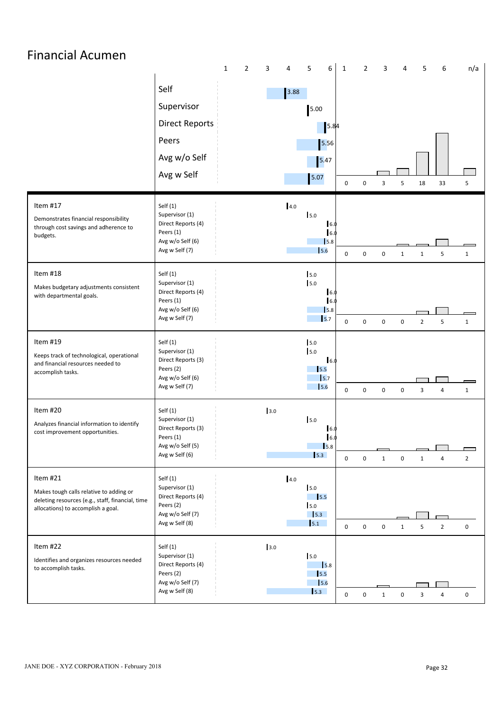### Financial Acumen 1 2 3 4 5 6 1 2 3 4 5 6 n/a Self 3.88 Supervisor 5.00 5.00 Direct Reports 2018 and 2019 and 2019 and 2019 and 2019 and 2019 and 2019 and 2019 and 2019 and 201 5.84 Peers and the contract of the state of the state of the state of the state of the state of the state of the state of the state of the state of the state of the state of the state of the state of the state of the state of t 5.56 Avg w/o Self 5.47 Avg w Self 5.07 0 0 3 5 18 33 5 Item #17 Self (1) 4.0 Supervisor (1) 5.0 Demonstrates financial responsibility Direct Reports (4) 6.0 through cost savings and adherence to Peers (1) budgets. 6.0 Avg w/o Self (6) **5.8 1.8 1.8 1.8 1.8 1.8 1.8 1.8 1.8 1.8 1.8 1.8 1.8 1.8 1.8 1.8 1.8 1.8 1.8 1.8 1.8 1.8 1.8 1.8 1.8 1.8 1.8 1.8 1.8 1.8 1.8 1.8 1.8 1.8 1.8 1.8 1.8** Avg w Self (7) <sup>0</sup> <sup>0</sup> <sup>0</sup> <sup>1</sup> <sup>1</sup> <sup>5</sup> <sup>1</sup> 5.6 Item #18 Self (1) 5.0 Supervisor (1) 5.0 Makes budgetary adjustments consistent Direct Reports (4) 6.0 with departmental goals. Peers (1) 6.0 Avg w/o Self (6) 5.8 Avg w Self (7) <sup>0</sup> <sup>0</sup> <sup>0</sup> <sup>0</sup> <sup>2</sup> <sup>5</sup> <sup>1</sup> 5.7 0 0 0 0 2 F Item #19 Self (1) 5.0 Supervisor (1) 5.0 Keeps track of technological, operational Direct Reports (3) 6.0 and financial resources needed to Peers (2) 5.5 accomplish tasks. Avg w/o Self (6) **5.7 1.8 • 1.8 • 1.9 • 1.9 • 1.9 • 1.9 • 1.9 • 1.9 • 1.9 • 1.9 • 1.9 • 1.9 • 1.9 • 1.9 • 1.9 • 1.9 • 1.9 • 1.9 • 1.9 • 1.9 • 1.9 • 1.9 • 1.9 • 1.9 • 1.9 • 1.9 • 1.9 • 1.9 • 1.9 • 1.9 • 1.9 • 1.9 • 1.9 • 1.9 • 1.1.9 • 1.1** Avg w Self (7) <sup>0</sup> <sup>0</sup> <sup>0</sup> <sup>0</sup> <sup>3</sup> <sup>4</sup> <sup>1</sup> 5.6 Item #20 Self (1) 3.0 Supervisor (1) 5.0 Analyzes financial information to identify Direct Reports (3) 6.0 cost improvement opportunities. Peers (1) 6.0 Avg w/o Self (5) 5.8 ┑ Avg w Self (6) <sup>0</sup> <sup>0</sup> <sup>1</sup> <sup>0</sup> <sup>1</sup> <sup>4</sup> <sup>2</sup> 5.3 Item #21 Self (1) 4.0 Supervisor (1) 5.0 Makes tough calls relative to adding or Direct Reports (4) deleting resources (e.g., staff, financial, time 5.5 Peers (2) allocations) to accomplish a goal. 5.0 Avg w/o Self (7) **5.3 I I I I I** 5.1 0 0 0 1 5 2 Avg w Self (8) <sup>0</sup> <sup>0</sup> <sup>0</sup> <sup>1</sup> <sup>5</sup> <sup>2</sup> <sup>0</sup> Item #22 Self (1) 3.0 Supervisor (1) 5.0 Identifies and organizes resources needed Direct Reports (4) 5.8 to accomplish tasks. Peers (2) 5.5 Avg w/o Self (7) 5.6 5.3 0 0 1 0 3 4 Avg w Self (8) <sup>0</sup> <sup>0</sup> <sup>1</sup> <sup>0</sup> <sup>3</sup> <sup>4</sup> <sup>0</sup>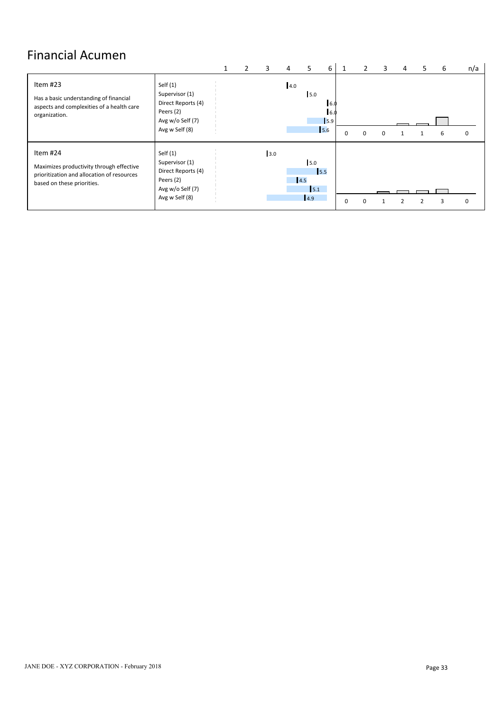# Financial Acumen

|                                                                                                                                  |                                                                                                       |  |     | 4   |                                         | 6                        |  |  | כ | b | n/a      |
|----------------------------------------------------------------------------------------------------------------------------------|-------------------------------------------------------------------------------------------------------|--|-----|-----|-----------------------------------------|--------------------------|--|--|---|---|----------|
| Item #23<br>Has a basic understanding of financial<br>aspects and complexities of a health care<br>organization.                 | Self $(1)$<br>Supervisor (1)<br>Direct Reports (4)<br>Peers (2)<br>Avg w/o Self (7)<br>Avg w Self (8) |  |     | 4.0 | 5.0                                     | 6.0<br>6.0<br>5.9<br>5.6 |  |  |   | b | 0        |
| Item #24<br>Maximizes productivity through effective<br>prioritization and allocation of resources<br>based on these priorities. | Self $(1)$<br>Supervisor (1)<br>Direct Reports (4)<br>Peers (2)<br>Avg w/o Self (7)<br>Avg w Self (8) |  | 3.0 |     | 5.0<br> 4.5<br>5.1<br>$\vert 4.9 \vert$ | 15.5                     |  |  |   |   | $\Omega$ |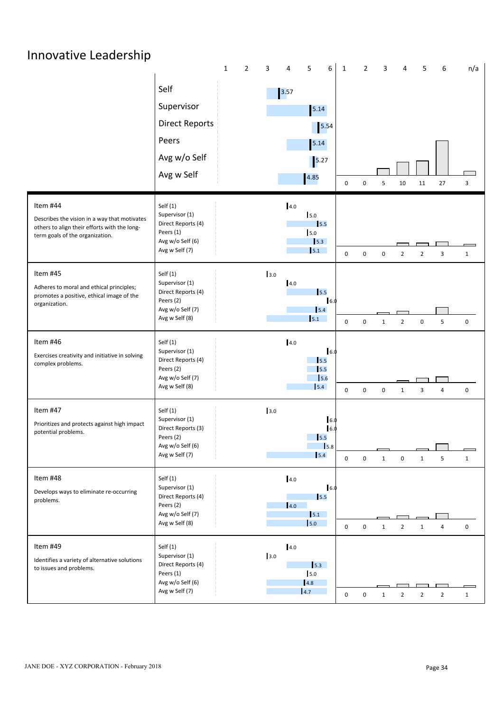| Innovative Leadership                                                                                                                       |                                                                                                       |                                                                                                        |                                                              |                                                  |                                  |  |
|---------------------------------------------------------------------------------------------------------------------------------------------|-------------------------------------------------------------------------------------------------------|--------------------------------------------------------------------------------------------------------|--------------------------------------------------------------|--------------------------------------------------|----------------------------------|--|
|                                                                                                                                             | $\mathbf{1}$<br>Self<br>Supervisor<br><b>Direct Reports</b><br>Peers<br>Avg w/o Self<br>Avg w Self    | 6<br>$\overline{2}$<br>5<br>3<br>4<br>$\boxed{3.57}$<br>5.14<br>$\boxed{5.54}$<br>5.14<br>5.27<br>4.85 | $\overline{2}$<br>$\mathbf{1}$<br>$\mathbf 0$<br>$\mathbf 0$ | 3<br>4<br>5<br>10<br>5<br>11                     | n/a<br>6<br>27<br>$\overline{3}$ |  |
| Item #44<br>Describes the vision in a way that motivates<br>others to align their efforts with the long-<br>term goals of the organization. | Self(1)<br>Supervisor (1)<br>Direct Reports (4)<br>Peers (1)<br>Avg w/o Self (6)<br>Avg w Self (7)    | 4.0<br>5.0<br>$\vert$ 5.5<br>5.0<br>$\vert$ 5.3<br>5.1                                                 | $\mathbf 0$<br>$\mathsf 0$                                   | $\mathbf 0$<br>$\overline{2}$<br>$\overline{2}$  | 3<br>$\mathbf{1}$                |  |
| Item #45<br>Adheres to moral and ethical principles;<br>promotes a positive, ethical image of the<br>organization.                          | Self $(1)$<br>Supervisor (1)<br>Direct Reports (4)<br>Peers (2)<br>Avg w/o Self (7)<br>Avg w Self (8) | 3.0<br>4.0<br>$\vert$ 5.5<br>6.0<br>5.4<br>5.1                                                         | $\mathbf 0$<br>$\mathsf 0$                                   | $\overline{2}$<br>$\mathbf 0$<br>$\mathbf{1}$    | 5<br>0                           |  |
| Item #46<br>Exercises creativity and initiative in solving<br>complex problems.                                                             | Self $(1)$<br>Supervisor (1)<br>Direct Reports (4)<br>Peers (2)<br>Avg w/o Self (7)<br>Avg w Self (8) | 4.0<br>16.0<br>$\vert$ 5.5<br>5.5<br>5.6<br>5.4                                                        | $\mathsf 0$<br>$\mathbf 0$                                   | 0<br>3<br>1                                      | $\mathbf 0$<br>$\overline{a}$    |  |
| Item #47<br>Prioritizes and protects against high impact<br>potential problems.                                                             | Self $(1)$<br>Supervisor (1)<br>Direct Reports (3)<br>Peers (2)<br>Avg w/o Self (6)<br>Avg w Self (7) | 3.0<br>6.0<br>16.0<br>$\vert$ <sub>5.5</sub><br>$\vert$ <sub>5.8</sub><br>5.4                          | $\mathbf 0$<br>$\mathsf 0$                                   | $\mathbf{1}$<br>$\boldsymbol{0}$<br>$\mathbf{1}$ | 5<br>$\mathbf{1}$                |  |
| Item #48<br>Develops ways to eliminate re-occurring<br>problems.                                                                            | Self(1)<br>Supervisor (1)<br>Direct Reports (4)<br>Peers (2)<br>Avg w/o Self (7)<br>Avg w Self (8)    | 4.0<br>6.0<br>$\vert$ 5.5<br>4.0<br>5.1<br>$\vert$ 5.0                                                 | $\mathbf 0$<br>$\mathsf 0$                                   | $\overline{2}$<br>$\mathbf{1}$<br>$\mathbf{1}$   | $\mathsf 0$<br>$\overline{a}$    |  |
| Item #49<br>Identifies a variety of alternative solutions<br>to issues and problems.                                                        | Self $(1)$<br>Supervisor (1)<br>Direct Reports (4)<br>Peers (1)<br>Avg w/o Self (6)<br>Avg w Self (7) | 4.0<br>3.0<br>5.3<br>5.0<br>4.8<br>4.7                                                                 | $\mathsf 0$<br>$\mathbf 0$                                   | $\overline{2}$<br>$\overline{2}$<br>1            | $\overline{2}$<br>$\mathbf{1}$   |  |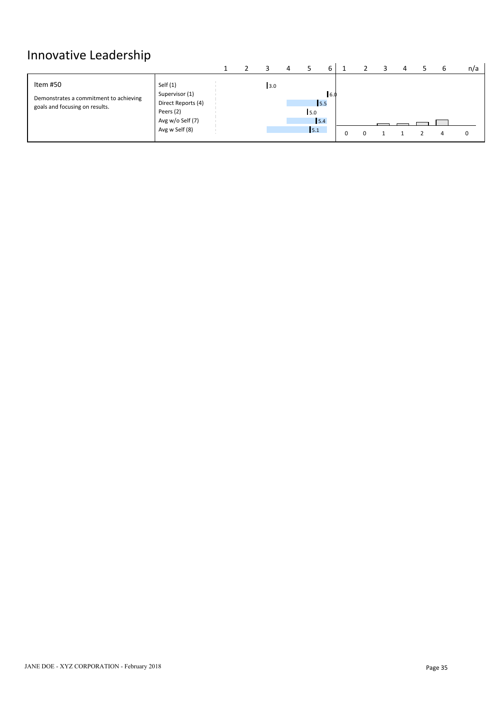# Innovative Leadership<br>
The Second Second Second Second Second Second Second Second Second Second Second Second Second Second Second Second Second Second Second Second Second Second Second Second Second Second Second Second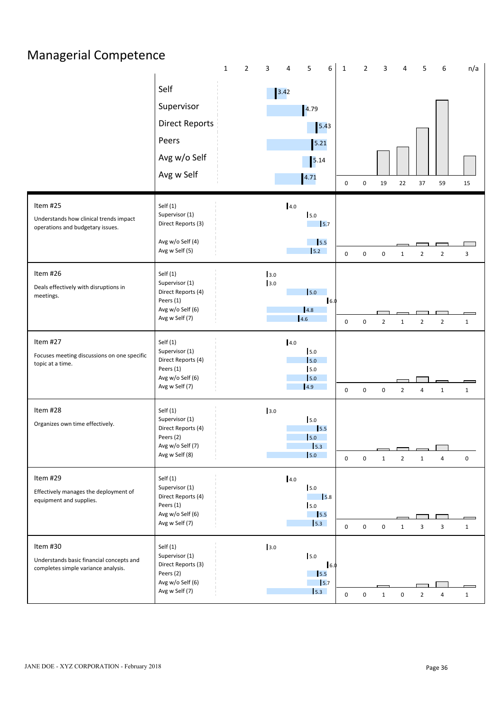|                                                                                             | $\mathbf{1}$<br>$\overline{2}$                                                                        | 5<br>6<br>3<br>4                                                                                          | n/a<br>1<br>$\overline{2}$<br>3<br>5<br>6<br>Δ                                                                           |
|---------------------------------------------------------------------------------------------|-------------------------------------------------------------------------------------------------------|-----------------------------------------------------------------------------------------------------------|--------------------------------------------------------------------------------------------------------------------------|
|                                                                                             | Self<br>Supervisor<br><b>Direct Reports</b><br>Peers<br>Avg w/o Self<br>Avg w Self                    | $\begin{array}{ c c }\n 3.42\n \end{array}$<br>$\vert 4.79$<br>$5.43$<br>$5.21$<br>$\boxed{5.14}$<br>4.71 | 22<br>37<br>$\pmb{0}$<br>$\mathbf 0$<br>19<br>59<br>15                                                                   |
| Item #25<br>Understands how clinical trends impact<br>operations and budgetary issues.      | Self(1)<br>Supervisor (1)<br>Direct Reports (3)<br>Avg w/o Self (4)<br>Avg w Self (5)                 | 4.0<br>5.0<br>$\vert$ <sub>5.7</sub><br>$\vert$ 5.5<br>5.2                                                | $\mathbf 0$<br>$\mathsf 0$<br>$\mathbf 0$<br>$\overline{2}$<br>$\overline{2}$<br>$\overline{\mathbf{3}}$<br>$\mathbf{1}$ |
| Item #26<br>Deals effectively with disruptions in<br>meetings.                              | Self(1)<br>Supervisor (1)<br>Direct Reports (4)<br>Peers (1)<br>Avg w/o Self (6)<br>Avg w Self (7)    | 3.0<br>3.0<br>5.0<br>16.0<br>4.8<br>4.6                                                                   | $\mathbf 0$<br>$\mathsf 0$<br>$\overline{2}$<br>$\overline{2}$<br>$\overline{2}$<br>$\mathbf{1}$<br>$\mathbf{1}$         |
| Item #27<br>Focuses meeting discussions on one specific<br>topic at a time.                 | Self(1)<br>Supervisor (1)<br>Direct Reports (4)<br>Peers (1)<br>Avg w/o Self (6)<br>Avg w Self (7)    | 4.0<br>5.0<br>5.0<br>5.0<br>$\vert$ 5.0<br>4.9                                                            | $\mathbf 0$<br>$\mathbf 0$<br>$\mathbf 0$<br>$\overline{2}$<br>$\mathbf{1}$<br>$\mathbf{1}$<br>4                         |
| Item #28<br>Organizes own time effectively.                                                 | Self (1)<br>Supervisor (1)<br>Direct Reports (4)<br>Peers (2)<br>Avg w/o Self (7)<br>Avg w Self (8)   | 3.0<br>5.0<br>15.5<br>5.0<br>$\vert$ 5.3<br>$\vert$ 5.0                                                   | $\mathbf 0$<br>$\mathbf 0$<br>$\mathsf 0$<br>$\overline{2}$<br>$\mathbf{1}$<br>$\mathbf{1}$<br>4                         |
| Item #29<br>Effectively manages the deployment of<br>equipment and supplies.                | Self $(1)$<br>Supervisor (1)<br>Direct Reports (4)<br>Peers (1)<br>Avg w/o Self (6)<br>Avg w Self (7) | 4.0<br>5.0<br>$\vert$ 5.8<br>5.0<br>$\vert$ 5.5<br>$\vert$ 5.3                                            | $\mathbf 0$<br>$\mathsf 0$<br>$\mathbf 0$<br>3<br>3<br>$\mathbf{1}$<br>1                                                 |
| Item #30<br>Understands basic financial concepts and<br>completes simple variance analysis. | Self (1)<br>Supervisor (1)<br>Direct Reports (3)<br>Peers (2)<br>Avg w/o Self (6)<br>Avg w Self (7)   | 3.0<br>5.0<br>16.0<br>$\mathbf{I}$ 5.5<br>$\vert$ <sub>5.7</sub><br>$\vert$ 5.3                           | $\mathbf 0$<br>$\mathsf 0$<br>$\mathbf{1}$<br>$\mathsf 0$<br>$\overline{2}$<br>$\overline{a}$<br>$\mathbf{1}$            |

## Managerial Competence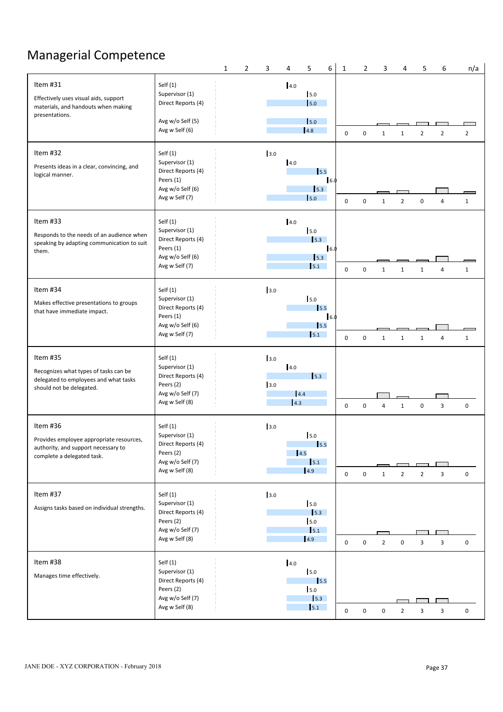# Managerial Competence

|                                                                                                                           |                                                                                                       | 1 | $\overline{2}$ | 3          | 4                 | 5                                                                | 6    | 1           | $\overline{2}$ | 3              | 4              | 5                | 6                       | n/a            |
|---------------------------------------------------------------------------------------------------------------------------|-------------------------------------------------------------------------------------------------------|---|----------------|------------|-------------------|------------------------------------------------------------------|------|-------------|----------------|----------------|----------------|------------------|-------------------------|----------------|
| Item #31<br>Effectively uses visual aids, support<br>materials, and handouts when making<br>presentations.                | Self $(1)$<br>Supervisor (1)<br>Direct Reports (4)<br>Avg w/o Self (5)<br>Avg w Self (6)              |   |                |            | 4.0               | 5.0<br>5.0<br>$\vert$ 5.0<br>4.8                                 |      | 0           | $\mathbf 0$    | 1              | $\mathbf{1}$   | $\overline{2}$   | $\overline{2}$          | $\overline{2}$ |
| Item #32<br>Presents ideas in a clear, convincing, and<br>logical manner.                                                 | Self(1)<br>Supervisor (1)<br>Direct Reports (4)<br>Peers (1)<br>Avg w/o Self (6)<br>Avg w Self (7)    |   |                | 3.0        | 4.0               | 15.5<br>5.3<br>5.0                                               | 16.0 | 0           | 0              | 1              | $\overline{2}$ | $\mathbf 0$      | 4                       | $\mathbf{1}$   |
| Item #33<br>Responds to the needs of an audience when<br>speaking by adapting communication to suit<br>them.              | Self $(1)$<br>Supervisor (1)<br>Direct Reports (4)<br>Peers (1)<br>Avg w/o Self (6)<br>Avg w Self (7) |   |                |            | 4.0               | 5.0<br>$\vert$ 5.3<br>$\vert$ 5.3<br>5.1                         | 16.0 | 0           | $\mathbf 0$    | $\mathbf{1}$   | $\mathbf{1}$   | $\mathbf{1}$     | 4                       | $\mathbf{1}$   |
| Item #34<br>Makes effective presentations to groups<br>that have immediate impact.                                        | Self(1)<br>Supervisor (1)<br>Direct Reports (4)<br>Peers (1)<br>Avg w/o Self (6)<br>Avg w Self (7)    |   |                | 3.0        |                   | 5.0<br>15.5<br>5.5<br>5.1                                        | 6.0  | $\mathbf 0$ | $\mathbf 0$    | $\mathbf{1}$   | $\mathbf{1}$   | $\mathbf{1}$     | $\overline{4}$          | $\mathbf{1}$   |
| Item #35<br>Recognizes what types of tasks can be<br>delegated to employees and what tasks<br>should not be delegated.    | Self $(1)$<br>Supervisor (1)<br>Direct Reports (4)<br>Peers (2)<br>Avg w/o Self (7)<br>Avg w Self (8) |   |                | 3.0<br>3.0 | 4.0<br>4.4<br>4.3 | 5.3                                                              |      | $\mathbf 0$ | $\mathbf 0$    | $\overline{4}$ | $\mathbf{1}$   | $\boldsymbol{0}$ | $\overline{3}$          | 0              |
| Item #36<br>Provides employee appropriate resources,<br>authority, and support necessary to<br>complete a delegated task. | Self $(1)$<br>Supervisor (1)<br>Direct Reports (4)<br>Peers (2)<br>Avg w/o Self (7)<br>Avg w Self (8) |   |                | 3.0        |                   | 5.0<br>$\vert$ <sub>5.5</sub><br>4.5<br>5.1<br>$\vert 4.9 \vert$ |      | $\mathbf 0$ | $\mathbf 0$    | $\mathbf{1}$   | $\overline{2}$ | $\overline{2}$   | $\mathbf{3}$            | $\mathsf 0$    |
| Item #37<br>Assigns tasks based on individual strengths.                                                                  | Self $(1)$<br>Supervisor (1)<br>Direct Reports (4)<br>Peers (2)<br>Avg w/o Self (7)<br>Avg w Self (8) |   |                | 3.0        |                   | 5.0<br>$\vert$ 5.3<br>5.0<br>$\vert$ 5.1<br> 4.9                 |      | $\mathbf 0$ | $\mathbf 0$    | $\overline{2}$ | $\mathbf 0$    | $\overline{3}$   | $\overline{\mathbf{3}}$ | 0              |
| Item #38<br>Manages time effectively.                                                                                     | Self $(1)$<br>Supervisor (1)<br>Direct Reports (4)<br>Peers (2)<br>Avg w/o Self (7)<br>Avg w Self (8) |   |                |            | 4.0               | 5.0<br>15.5<br>5.0<br>$\vert$ 5.3<br>5.1                         |      | $\mathbf 0$ | $\mathbf 0$    | $\mathbf 0$    | $\overline{2}$ | $\overline{3}$   | $\mathbf{3}$            | 0              |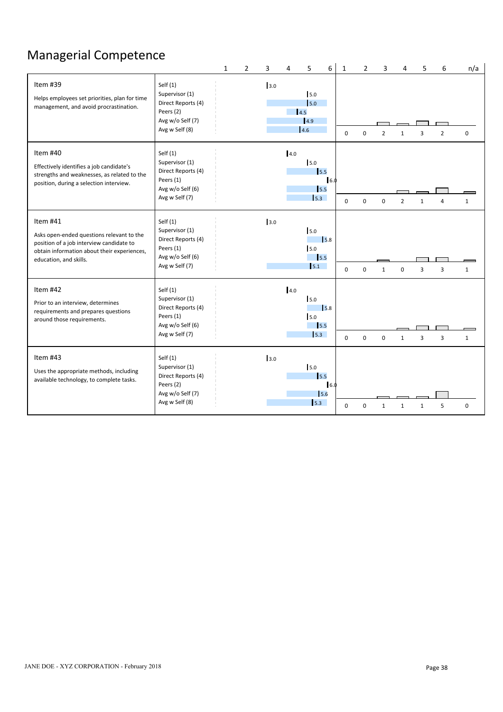# Managerial Competence

|                                                                                                                                                                            |                                                                                                       | $\mathbf{1}$ | $\overline{2}$ | 3   | $\overline{4}$ | 5                                        | 6                  | $\mathbf{1}$ | $\overline{2}$ | $\overline{3}$ | 4              | 5              | 6              | n/a          |
|----------------------------------------------------------------------------------------------------------------------------------------------------------------------------|-------------------------------------------------------------------------------------------------------|--------------|----------------|-----|----------------|------------------------------------------|--------------------|--------------|----------------|----------------|----------------|----------------|----------------|--------------|
| Item #39<br>Helps employees set priorities, plan for time<br>management, and avoid procrastination.                                                                        | Self $(1)$<br>Supervisor (1)<br>Direct Reports (4)<br>Peers (2)<br>Avg w/o Self (7)<br>Avg w Self (8) |              |                | 3.0 |                | 5.0<br>5.0<br>14.5<br>4.9<br>4.6         |                    | $\mathbf 0$  | $\mathbf 0$    | $\overline{2}$ | $\mathbf{1}$   | 3              | $\overline{2}$ | 0            |
| Item #40<br>Effectively identifies a job candidate's<br>strengths and weaknesses, as related to the<br>position, during a selection interview.                             | Self $(1)$<br>Supervisor (1)<br>Direct Reports (4)<br>Peers (1)<br>Avg w/o Self (6)<br>Avg w Self (7) |              |                |     | 4.0            | 5.0<br>15.5<br>$\vert$ 5.5<br>5.3        | 6.0                | $\Omega$     | $\Omega$       | $\Omega$       | $\overline{2}$ | $\mathbf{1}$   |                | 1            |
| Item #41<br>Asks open-ended questions relevant to the<br>position of a job interview candidate to<br>obtain information about their experiences,<br>education, and skills. | Self $(1)$<br>Supervisor (1)<br>Direct Reports (4)<br>Peers (1)<br>Avg w/o Self (6)<br>Avg w Self (7) |              |                | 3.0 |                | 5.0<br>5.0<br>$\vert$ 5.5<br>5.1         | $\sqrt{5.8}$       | $\mathbf 0$  | 0              | $\mathbf{1}$   | 0              | $\overline{3}$ | 3              | $\mathbf{1}$ |
| Item #42<br>Prior to an interview, determines<br>requirements and prepares questions<br>around those requirements.                                                         | Self $(1)$<br>Supervisor (1)<br>Direct Reports (4)<br>Peers (1)<br>Avg w/o Self (6)<br>Avg w Self (7) |              |                |     | 4.0            | 5.0<br>5.0<br>$\vert$ 5.5<br>$\vert$ 5.3 | 5.8                | $\mathbf 0$  | $\mathbf 0$    | $\mathbf 0$    | 1              | $\overline{3}$ | $\overline{3}$ | $\mathbf{1}$ |
| Item #43<br>Uses the appropriate methods, including<br>available technology, to complete tasks.                                                                            | Self $(1)$<br>Supervisor (1)<br>Direct Reports (4)<br>Peers (2)<br>Avg w/o Self (7)<br>Avg w Self (8) |              |                | 3.0 |                | 5.0<br>15.5<br>5.3                       | $\vert$ 6.0<br>5.6 | $\Omega$     | $\Omega$       |                |                |                | 5              | $\mathbf 0$  |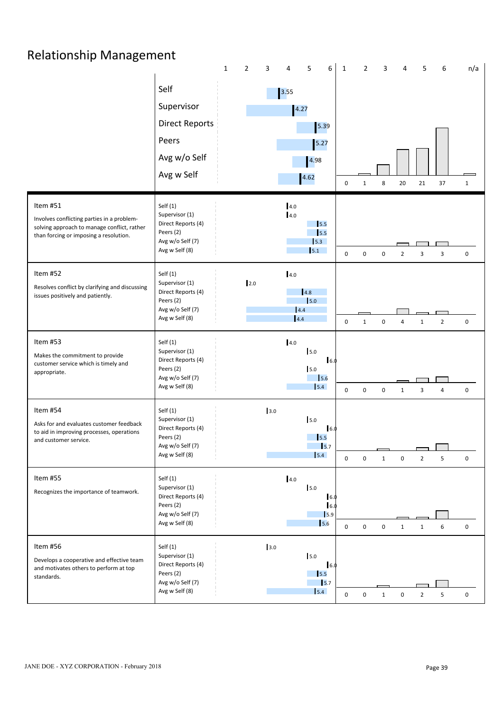# Relationship Management

|                                                                                                                                                 |                                                                                                    | $\mathbf{1}$ | $\overline{2}$<br>3 | 5<br>4                                                                       | 6<br>$\mathbf{1}$                | $\overline{2}$              | 3              | 5                       | 6<br>n/a                     |  |
|-------------------------------------------------------------------------------------------------------------------------------------------------|----------------------------------------------------------------------------------------------------|--------------|---------------------|------------------------------------------------------------------------------|----------------------------------|-----------------------------|----------------|-------------------------|------------------------------|--|
|                                                                                                                                                 | Self<br>Supervisor<br><b>Direct Reports</b><br>Peers<br>Avg w/o Self<br>Avg w Self                 |              |                     | $\boxed{3.55}$<br>4.27<br>5.39<br>$5.27$<br>4.98<br>4.62                     | 0                                | 8<br>$\mathbf{1}$           | $20\,$         | 21                      | $37\,$<br>$\mathbf{1}$       |  |
| Item #51<br>Involves conflicting parties in a problem-<br>solving approach to manage conflict, rather<br>than forcing or imposing a resolution. | Self(1)<br>Supervisor (1)<br>Direct Reports (4)<br>Peers (2)<br>Avg w/o Self (7)<br>Avg w Self (8) |              |                     | 4.0<br>4.0<br>$\vert$ <sub>5.5</sub><br>$\vert$ <sub>5.5</sub><br>5.3<br>5.1 | 0                                | $\mathsf 0$<br>0            | $\overline{2}$ | 3                       | $\overline{\mathbf{3}}$<br>0 |  |
| Item #52<br>Resolves conflict by clarifying and discussing<br>issues positively and patiently.                                                  | Self(1)<br>Supervisor (1)<br>Direct Reports (4)<br>Peers (2)<br>Avg w/o Self (7)<br>Avg w Self (8) |              | 2.0                 | 4.0<br>4.8<br>$\vert$ 5.0<br>4.4<br>4.4                                      | $\mathbf 0$                      | $\mathbf 0$<br>$\mathbf{1}$ | $\overline{4}$ | $\mathbf{1}$            | $\overline{2}$<br>0          |  |
| Item #53<br>Makes the commitment to provide<br>customer service which is timely and<br>appropriate.                                             | Self(1)<br>Supervisor (1)<br>Direct Reports (4)<br>Peers (2)<br>Avg w/o Self (7)<br>Avg w Self (8) |              |                     | 4.0<br>5.0<br>5.0<br>15.6<br>5.4                                             | 16.0<br>$\boldsymbol{0}$         | $\mathbf 0$<br>$\mathbf 0$  | $\mathbf{1}$   | $\overline{\mathbf{3}}$ | 0<br>$\overline{4}$          |  |
| Item #54<br>Asks for and evaluates customer feedback<br>to aid in improving processes, operations<br>and customer service.                      | Self(1)<br>Supervisor (1)<br>Direct Reports (4)<br>Peers (2)<br>Avg w/o Self (7)<br>Avg w Self (8) |              | 3.0                 | 5.0<br>$\vert$ 5.5<br>5.7<br>5.4                                             | 16.0<br>$\mathbf 0$              | 0<br>$\mathbf{1}$           | $\pmb{0}$      | $\overline{2}$          | 5<br>$\mathbf 0$             |  |
| Item #55<br>Recognizes the importance of teamwork.                                                                                              | Self(1)<br>Supervisor (1)<br>Direct Reports (4)<br>Peers (2)<br>Avg w/o Self (7)<br>Avg w Self (8) |              |                     | 4.0<br>5.0<br>$\vert$ 5.6                                                    | 16.0<br>16.0<br>$\vert$ 5.9<br>0 | $\mathsf 0$<br>$\mathbf 0$  | $\mathbf{1}$   | $\mathbf{1}$            | $\mathbf 0$<br>6             |  |
| Item #56<br>Develops a cooperative and effective team<br>and motivates others to perform at top<br>standards.                                   | Self(1)<br>Supervisor (1)<br>Direct Reports (4)<br>Peers (2)<br>Avg w/o Self (7)<br>Avg w Self (8) |              | 3.0                 | 5.0<br>$\vert$ 5.5<br>$\vert$ <sub>5.7</sub><br>$\vert$ 5.4                  | 6.0<br>$\mathbf 0$               | 0<br>$\mathbf{1}$           | $\pmb{0}$      | $\overline{2}$          | 5<br>$\mathbf 0$             |  |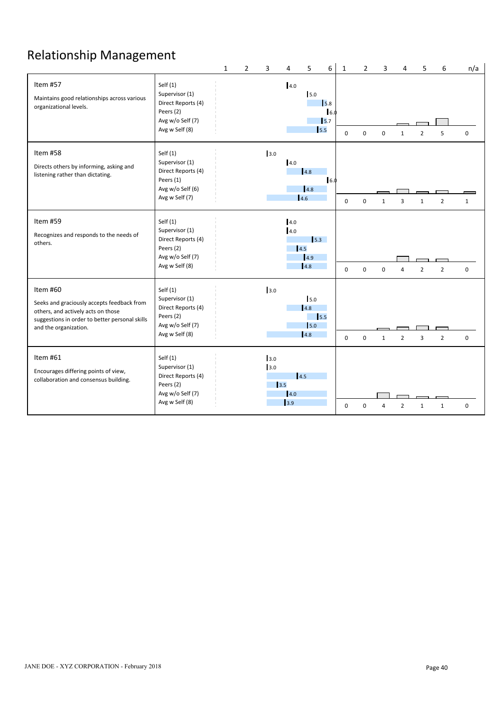# Relationship Management

|                                                                                                                                                                         |                                                                                                       | $\mathbf{1}$ | $\overline{2}$ | 3                 | 4                  | 5                                       | 6                                                   | $\mathbf{1}$ | $\overline{2}$ | 3            | 4                       | 5              | 6              | n/a         |  |
|-------------------------------------------------------------------------------------------------------------------------------------------------------------------------|-------------------------------------------------------------------------------------------------------|--------------|----------------|-------------------|--------------------|-----------------------------------------|-----------------------------------------------------|--------------|----------------|--------------|-------------------------|----------------|----------------|-------------|--|
| Item #57<br>Maintains good relationships across various<br>organizational levels.                                                                                       | Self $(1)$<br>Supervisor (1)<br>Direct Reports (4)<br>Peers (2)<br>Avg w/o Self (7)<br>Avg w Self (8) |              |                |                   | 4.0                | 5.0<br>5.5                              | $\sqrt{5.8}$<br>16.0<br>$\mathsf{I}$ <sub>5.7</sub> | $\Omega$     | 0              | $\Omega$     | 1                       | $\overline{2}$ | 5              | $\mathbf 0$ |  |
| Item #58<br>Directs others by informing, asking and<br>listening rather than dictating.                                                                                 | Self $(1)$<br>Supervisor (1)<br>Direct Reports (4)<br>Peers (1)<br>Avg w/o Self (6)<br>Avg w Self (7) |              |                | 3.0               | 4.0                | 4.8 <br> 4.8 <br>4.6                    | 6.0                                                 | $\Omega$     | $\Omega$       |              | $\overline{\mathbf{3}}$ |                | $\mathcal{P}$  | 1           |  |
| Item #59<br>Recognizes and responds to the needs of<br>others.                                                                                                          | Self $(1)$<br>Supervisor (1)<br>Direct Reports (4)<br>Peers (2)<br>Avg w/o Self (7)<br>Avg w Self (8) |              |                |                   | 4.0<br>4.0<br>14.5 | $\vert$ 5.3<br> 4.9<br>4.8              |                                                     | $\Omega$     | $\mathbf 0$    | $\mathbf 0$  | $\Delta$                | $\overline{2}$ | $\overline{2}$ | $\mathbf 0$ |  |
| Item #60<br>Seeks and graciously accepts feedback from<br>others, and actively acts on those<br>suggestions in order to better personal skills<br>and the organization. | Self $(1)$<br>Supervisor (1)<br>Direct Reports (4)<br>Peers (2)<br>Avg w/o Self (7)<br>Avg w Self (8) |              |                | 3.0               |                    | 5.0<br>4.8<br>$\vert$ 5.5<br>5.0<br>4.8 |                                                     | $\mathbf 0$  | $\mathbf 0$    | $\mathbf{1}$ | $\overline{2}$          | $\overline{3}$ | $\overline{2}$ | $\mathbf 0$ |  |
| Item #61<br>Encourages differing points of view,<br>collaboration and consensus building.                                                                               | Self $(1)$<br>Supervisor (1)<br>Direct Reports (4)<br>Peers (2)<br>Avg w/o Self (7)<br>Avg w Self (8) |              |                | 3.0<br>3.0<br>3.5 | 14.5<br>4.0<br>3.9 |                                         |                                                     | $\Omega$     | $\Omega$       |              | $\mathfrak{p}$          |                | $\mathbf{1}$   | $\mathbf 0$ |  |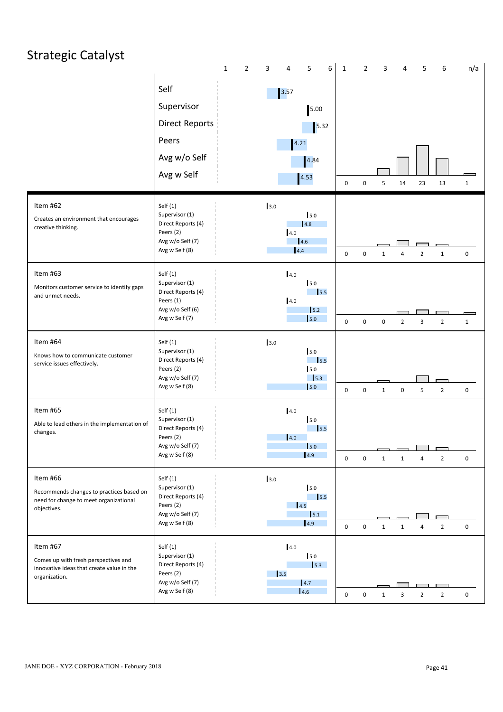### Strategic Catalyst 1 2 3 4 5 6 1 2 3 4 5 6 n/a Self Supervisor Direct Reports 2012 15.32 Peers and the contract of the set of the set of the set of the set of the set of the set of the set of the set of the set of the set of the set of the set of the set of the set of the set of the set of the set of the set o Avg w/o Self Avg w Self 0 0 5 14 23 13 1 Item #62 Creates an environment that encourages creative thinking. Self (1) Supervisor (1) Direct Reports (4) Peers (2) Avg w/o Self (7) Avg w Self (8) <sup>0</sup> <sup>0</sup> <sup>1</sup> <sup>4</sup> <sup>2</sup> <sup>1</sup> <sup>0</sup> Item #63 Monitors customer service to identify gaps and unmet needs. Self (1) Supervisor (1) Direct Reports (4) Peers (1) Avg w/o Self (6) Avg w Self (7) <sup>0</sup> <sup>0</sup> <sup>0</sup> <sup>2</sup> <sup>3</sup> <sup>2</sup> <sup>1</sup> Item #64 Knows how to communicate customer service issues effectively. Self (1) Supervisor (1) Direct Reports (4) Peers (2) Avg w/o Self (7) Avg w Self (8) <sup>0</sup> <sup>0</sup> <sup>1</sup> <sup>0</sup> <sup>5</sup> <sup>2</sup> <sup>0</sup> Item #65 Able to lead others in the implementation of changes. Self (1) Supervisor (1) Direct Reports (4) Peers (2) Avg w/o Self (7) Avg w Self (8) <sup>0</sup> <sup>0</sup> <sup>1</sup> <sup>1</sup> <sup>4</sup> <sup>2</sup> <sup>0</sup> Item #66 Recommends changes to practices based on need for change to meet organizational objectives. Self (1) Supervisor (1) Direct Reports (4) Peers (2) Avg w/o Self (7) Avg w Self (8) <sup>0</sup> <sup>0</sup> <sup>1</sup> <sup>1</sup> <sup>4</sup> <sup>2</sup> <sup>0</sup> Item #67 Comes up with fresh perspectives and innovative ideas that create value in the organization. Self (1) Supervisor (1) Direct Reports (4) Peers (2) Avg w/o Self (7) Avg w Self (8) <sup>0</sup> <sup>0</sup> <sup>1</sup> <sup>3</sup> <sup>2</sup> <sup>2</sup> <sup>0</sup> 3.57 5.00 5.32 4.21 4.84 4.53 3.0 5.0 4.8 4.0 4.6 (a)  $\qquad \qquad$   $\qquad \qquad$   $\qquad \qquad$   $\qquad \qquad$   $\qquad \qquad$   $\qquad \qquad$   $\qquad \qquad$   $\qquad \qquad$   $\qquad \qquad$   $\qquad \qquad$   $\qquad \qquad$   $\qquad \qquad$   $\qquad \qquad$   $\qquad \qquad$   $\qquad \qquad$   $\qquad \qquad$   $\qquad \qquad$   $\qquad \qquad$   $\qquad \qquad$   $\qquad \qquad$   $\qquad \qquad$   $\qquad \qquad$   $\qquad \qquad$   $\qquad \qquad$ 4.4 0 0 1 1 2 4.0 5.0 5.5 4.0  $\mathsf{I}_{5.2}$  $5.0$  0 0 0 2 3 3.0 5.0 5.5 5.0 5.3  $5.0$  0 0 1 0 5 4.0 5.0 5.5 4.0 5.0 4.9 3.0 5.0 5.5 4.5  $\vert$  5.1 4.9 4.0 5.0 5.3 3.5 4.7 4.6 0 0 1 2 2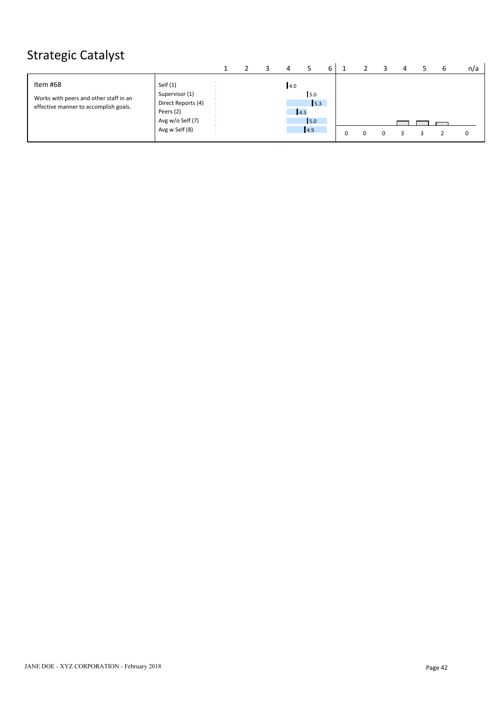# Strategic Catalyst

| Item #68<br>Self (1)<br>4.0<br>Supervisor (1)<br>5.0<br>Works with peers and other staff in an<br>Direct Reports (4)<br>5.3<br>effective manner to accomplish goals.<br>Peers (2)<br>4.5<br>Avg w/o Self (7)<br>15.0<br>Avg w Self (8)<br>4.9 |  |  |  |  |  |  |  | n/a |
|-----------------------------------------------------------------------------------------------------------------------------------------------------------------------------------------------------------------------------------------------|--|--|--|--|--|--|--|-----|
|                                                                                                                                                                                                                                               |  |  |  |  |  |  |  |     |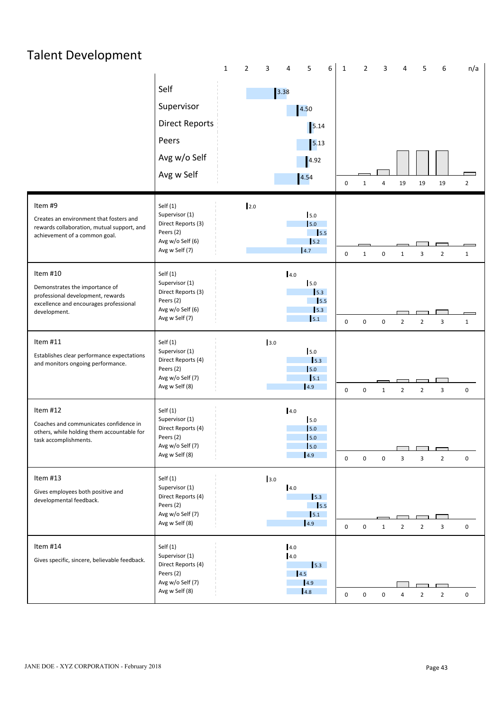# Talent Development

|                                                                                                                                           |                                                                                                       | $\mathbf{1}$ | 2   |     |                | 5                                                                       | 6 | $\mathbf{1}$     | $\mathfrak{p}$   | ς              |                         | 5              | 6              | n/a            |  |
|-------------------------------------------------------------------------------------------------------------------------------------------|-------------------------------------------------------------------------------------------------------|--------------|-----|-----|----------------|-------------------------------------------------------------------------|---|------------------|------------------|----------------|-------------------------|----------------|----------------|----------------|--|
|                                                                                                                                           | Self<br>Supervisor<br><b>Direct Reports</b><br>Peers<br>Avg w/o Self<br>Avg w Self                    |              |     |     | $\boxed{3.38}$ | 4.50<br>$\vert$ 5.14<br>$\vert$ 5.13<br>4.92<br>4.54                    |   | 0                | 1                | $\overline{4}$ | 19                      | 19             | 19             | $\overline{2}$ |  |
| Item #9<br>Creates an environment that fosters and<br>rewards collaboration, mutual support, and<br>achievement of a common goal.         | Self(1)<br>Supervisor (1)<br>Direct Reports (3)<br>Peers (2)<br>Avg w/o Self (6)<br>Avg w Self (7)    |              | 2.0 |     |                | 5.0<br>5.0<br>$\overline{\phantom{0}}$ 5.5<br>5.2<br>4.7                |   | $\mathbf 0$      | $\mathbf{1}$     | $\mathbf 0$    | $\mathbf{1}$            | $\overline{3}$ | $\overline{2}$ | $\mathbf{1}$   |  |
| Item #10<br>Demonstrates the importance of<br>professional development, rewards<br>excellence and encourages professional<br>development. | Self(1)<br>Supervisor (1)<br>Direct Reports (3)<br>Peers (2)<br>Avg w/o Self (6)<br>Avg w Self (7)    |              |     |     | 4.0            | 5.0<br>5.3<br>15.5<br>$\vert$ 5.3<br>5.1                                |   | $\mathbf 0$      | $\mathbf 0$      | $\mathbf 0$    | $\overline{2}$          | $\overline{2}$ | $\overline{3}$ | $\mathbf{1}$   |  |
| Item #11<br>Establishes clear performance expectations<br>and monitors ongoing performance.                                               | Self(1)<br>Supervisor (1)<br>Direct Reports (4)<br>Peers (2)<br>Avg w/o Self (7)<br>Avg w Self (8)    |              |     | 3.0 |                | 5.0<br>$\vert$ 5.3<br>5.0<br>$\vert$ 5.1<br>4.9                         |   | 0                | $\mathbf 0$      | $\mathbf{1}$   | $\overline{2}$          | $\overline{2}$ | $\overline{3}$ | $\mathbf 0$    |  |
| Item $#12$<br>Coaches and communicates confidence in<br>others, while holding them accountable for<br>task accomplishments.               | Self(1)<br>Supervisor (1)<br>Direct Reports (4)<br>Peers (2)<br>Avg w/o Self (7)<br>Avg w Self (8)    |              |     |     | 4.0            | 5.0<br>5.0<br>5.0<br>$\vert$ 5.0<br>4.9                                 |   | 0                | $\mathbf 0$      | $\mathbf 0$    | 3                       | 3              | $\overline{2}$ | 0              |  |
| Item #13<br>Gives employees both positive and<br>developmental feedback.                                                                  | Self $(1)$<br>Supervisor (1)<br>Direct Reports (4)<br>Peers (2)<br>Avg w/o Self (7)<br>Avg w Self (8) |              |     | 3.0 | $4.0\,$        | $\vert$ 5.3<br>$\frac{1}{5.5}$<br>$\vert$ <sub>5.1</sub><br>$\vert$ 4.9 |   | $\mathbf 0$      | $\mathbf 0$      | $\mathbf{1}$   | $\overline{2}$          | $\overline{2}$ | $\overline{3}$ | $\mathbf 0$    |  |
| Item #14<br>Gives specific, sincere, believable feedback.                                                                                 | Self(1)<br>Supervisor (1)<br>Direct Reports (4)<br>Peers (2)<br>Avg w/o Self (7)<br>Avg w Self (8)    |              |     |     | 4.0<br>4.0     | $\vert$ 5.3<br>$\vert 4.5 \vert$<br> 4.9 <br>$\vert 4.8 \vert$          |   | $\boldsymbol{0}$ | $\boldsymbol{0}$ | $\mathsf 0$    | $\overline{\mathbf{4}}$ | $\overline{2}$ | $\overline{2}$ | 0              |  |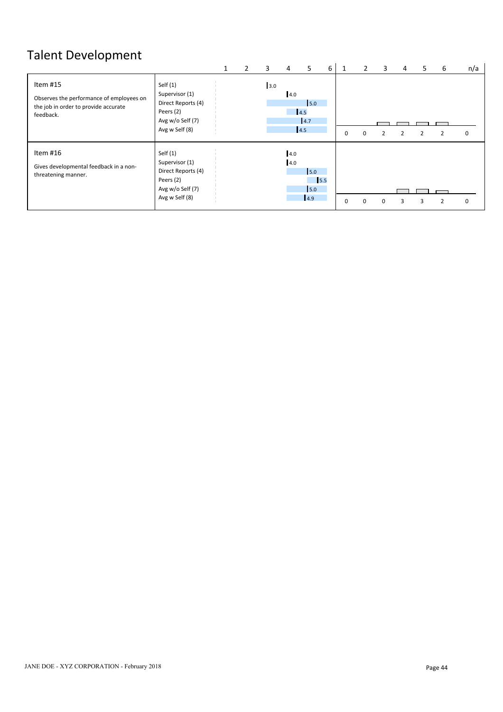# Talent Development

|                                                                                                           |                                                                                                       | 2 | 3   | 4          | 5.                               | 6 |             |          | 3        | 4 | כ | 6 | n/a          |
|-----------------------------------------------------------------------------------------------------------|-------------------------------------------------------------------------------------------------------|---|-----|------------|----------------------------------|---|-------------|----------|----------|---|---|---|--------------|
| Item #15<br>Observes the performance of employees on<br>the job in order to provide accurate<br>feedback. | Self $(1)$<br>Supervisor (1)<br>Direct Reports (4)<br>Peers (2)<br>Avg w/o Self (7)<br>Avg w Self (8) |   | 3.0 | 4.0        | 5.0<br>4.5<br>4.7<br>4.5         |   | 0           | $\Omega$ |          |   |   |   | $\mathbf{0}$ |
| ltem #16<br>Gives developmental feedback in a non-<br>threatening manner.                                 | Self $(1)$<br>Supervisor (1)<br>Direct Reports (4)<br>Peers (2)<br>Avg w/o Self (7)<br>Avg w Self (8) |   |     | 4.0<br>4.0 | 5.0<br>$\vert$ 5.5<br>5.0<br>4.9 |   | $\mathbf 0$ | $\Omega$ | $\Omega$ | з |   | ີ | $\mathbf{0}$ |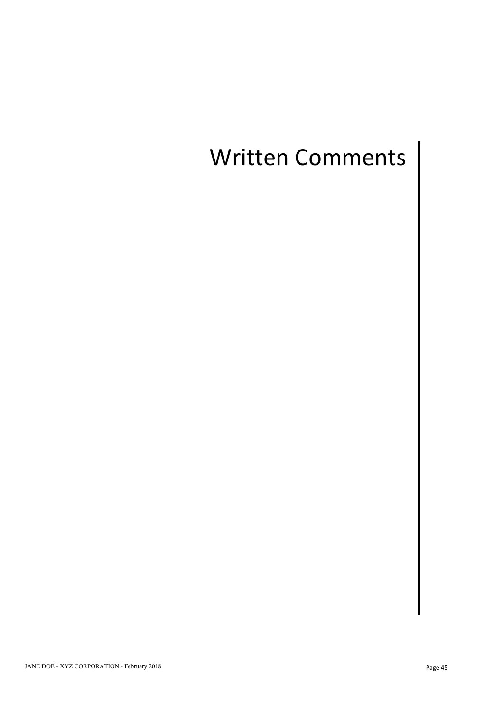# Written Comments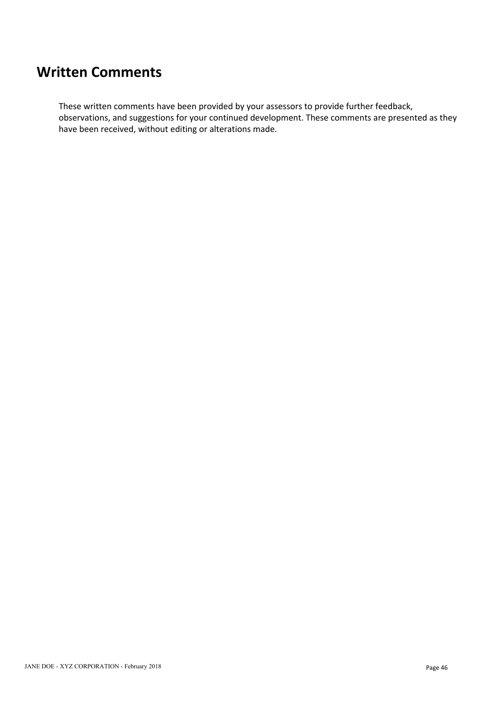## **Written Comments**

These written comments have been provided by your assessors to provide further feedback, observations, and suggestions for your continued development. These comments are presented as they have been received, without editing or alterations made.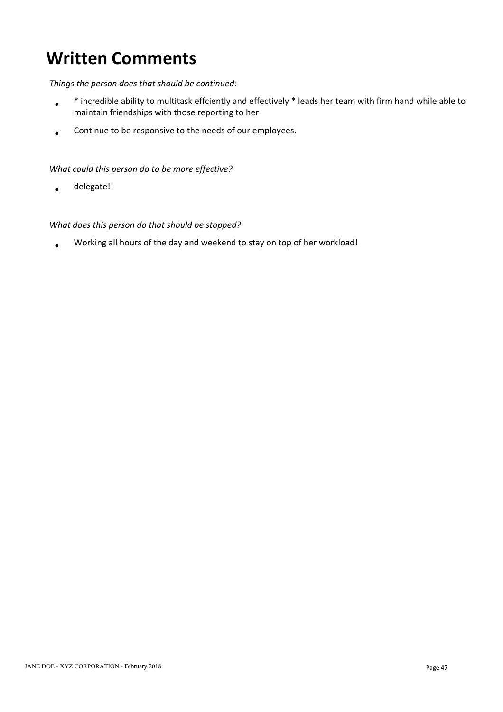# **Written Comments**

### *Things the person does that should be continued:*

- \* incredible ability to multitask effciently and effectively \* leads her team with firm hand while able to  $\bullet$ maintain friendships with those reporting to her
- Continue to be responsive to the needs of our employees.  $\bullet$

### *What could this person do to be more effective?*

delegate!!  $\bullet$ 

### *What does this person do that should be stopped?*

Working all hours of the day and weekend to stay on top of her workload!  $\bullet$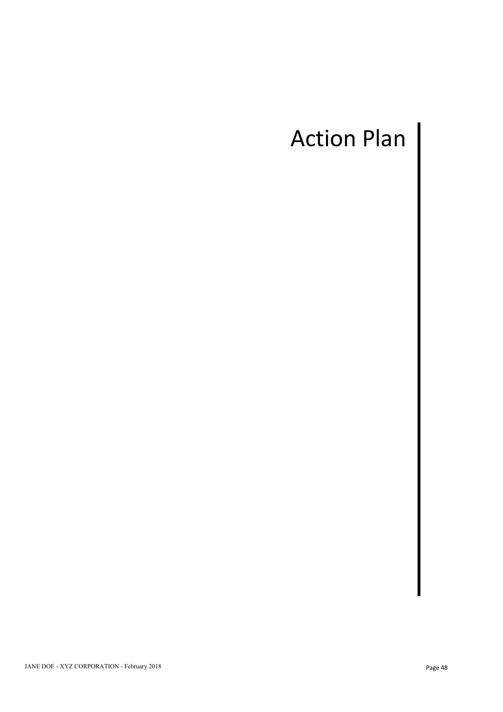# Action Plan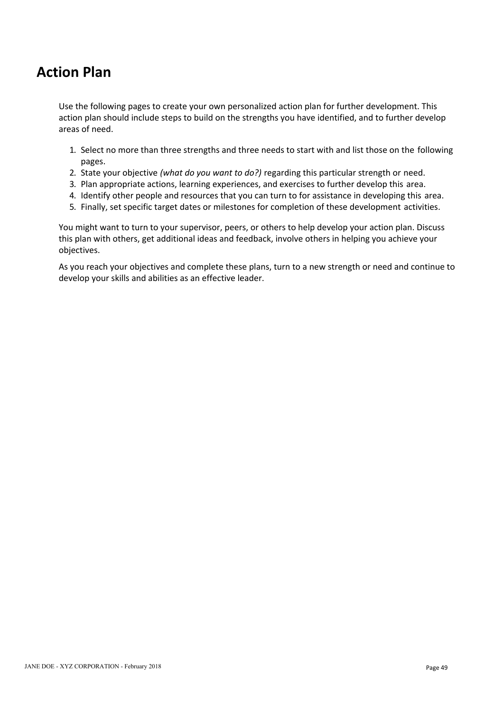# **Action Plan**

Use the following pages to create your own personalized action plan for further development. This action plan should include steps to build on the strengths you have identified, and to further develop areas of need.

- 1. Select no more than three strengths and three needs to start with and list those on the following pages.
- 2. State your objective *(what do you want to do?)* regarding this particular strength or need.
- 3. Plan appropriate actions, learning experiences, and exercises to further develop this area.
- 4. Identify other people and resources that you can turn to for assistance in developing this area.
- 5. Finally, set specific target dates or milestones for completion of these development activities.

You might want to turn to your supervisor, peers, or others to help develop your action plan. Discuss this plan with others, get additional ideas and feedback, involve others in helping you achieve your objectives.

As you reach your objectives and complete these plans, turn to a new strength or need and continue to develop your skills and abilities as an effective leader.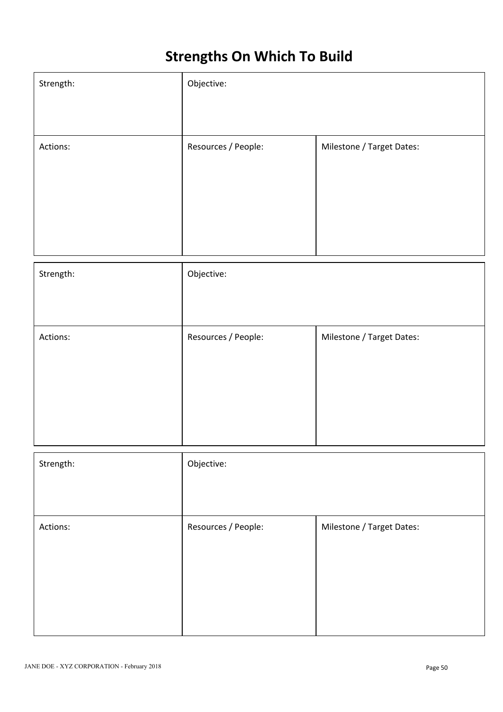# **Strengths On Which To Build**

| Strength: | Objective:          |                           |
|-----------|---------------------|---------------------------|
|           |                     |                           |
| Actions:  | Resources / People: | Milestone / Target Dates: |
|           |                     |                           |
|           |                     |                           |
|           |                     |                           |
|           |                     |                           |
| Strength: | Objective:          |                           |
|           |                     |                           |
|           |                     |                           |
| Actions:  | Resources / People: | Milestone / Target Dates: |
|           |                     |                           |
|           |                     |                           |
|           |                     |                           |
|           |                     |                           |
|           |                     |                           |
| Strength: | Objective:          |                           |
|           |                     |                           |
| Actions:  | Resources / People: | Milestone / Target Dates: |
|           |                     |                           |
|           |                     |                           |
|           |                     |                           |
|           |                     |                           |
|           |                     |                           |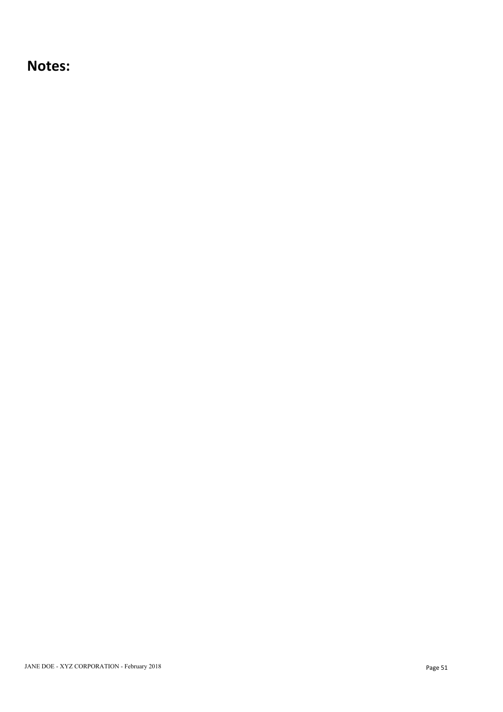## **Notes:**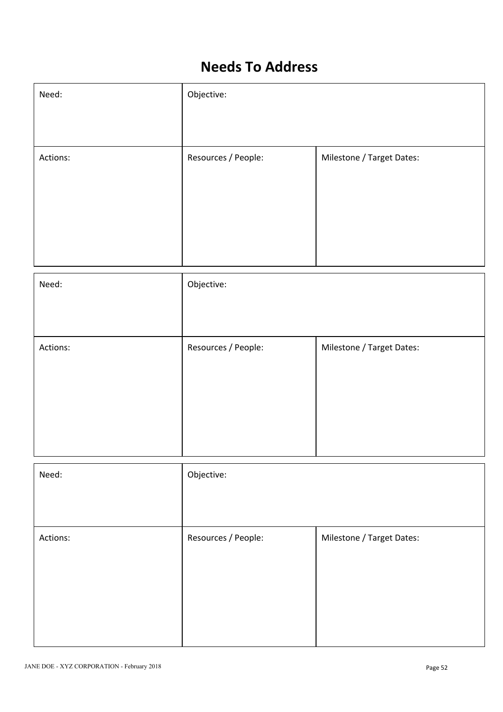# **Needs To Address**

| Need:    | Objective:          |                           |
|----------|---------------------|---------------------------|
|          |                     |                           |
| Actions: | Resources / People: | Milestone / Target Dates: |
|          |                     |                           |
|          |                     |                           |
|          |                     |                           |
|          |                     |                           |

| Need:    | Objective:          |                           |
|----------|---------------------|---------------------------|
|          |                     |                           |
| Actions: | Resources / People: | Milestone / Target Dates: |
|          |                     |                           |
|          |                     |                           |
|          |                     |                           |
|          | Objective:          |                           |
| Need:    |                     |                           |
|          |                     |                           |
| Actions: | Resources / People: | Milestone / Target Dates: |
|          |                     |                           |
|          |                     |                           |